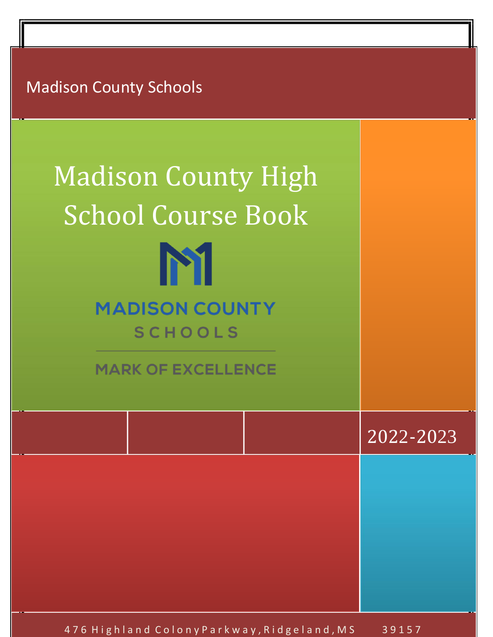Madison County Schools

| <b>Madison County High</b><br><b>School Course Book</b><br>$\begin{array}{c} \bullet \\ \bullet \end{array}$<br><b>MADISON COUNTY</b><br><b>SCHOOLS</b><br><b>MARK OF EXCELLENCE</b> |           |
|--------------------------------------------------------------------------------------------------------------------------------------------------------------------------------------|-----------|
|                                                                                                                                                                                      | 2022-2023 |
|                                                                                                                                                                                      |           |
|                                                                                                                                                                                      |           |
|                                                                                                                                                                                      |           |

476 Highland Colony Parkway, Ridgeland, MS 39157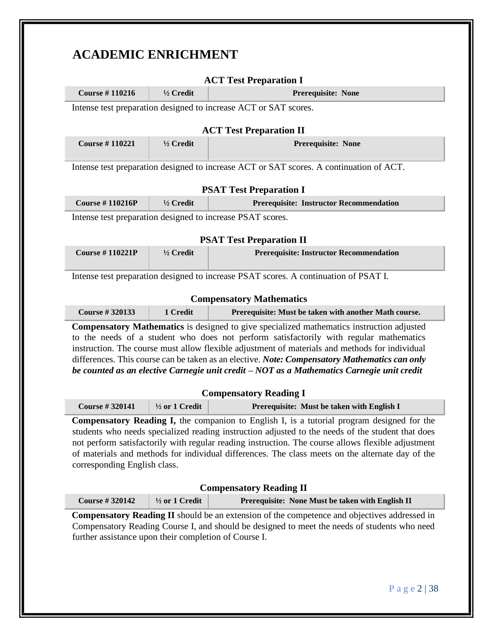# **ACADEMIC ENRICHMENT**

|                              |                                                                             | <b>ACT Test Preparation I</b>                                                                                                                                                                   |  |  |  |
|------------------------------|-----------------------------------------------------------------------------|-------------------------------------------------------------------------------------------------------------------------------------------------------------------------------------------------|--|--|--|
| <b>Course #110216</b>        | $1/2$ Credit<br>Prerequisite: None                                          |                                                                                                                                                                                                 |  |  |  |
|                              |                                                                             | Intense test preparation designed to increase ACT or SAT scores.                                                                                                                                |  |  |  |
|                              |                                                                             |                                                                                                                                                                                                 |  |  |  |
| <b>Course #110221</b>        | <b>ACT Test Preparation II</b><br>$1/2$ Credit<br><b>Prerequisite: None</b> |                                                                                                                                                                                                 |  |  |  |
|                              |                                                                             |                                                                                                                                                                                                 |  |  |  |
|                              |                                                                             | Intense test preparation designed to increase ACT or SAT scores. A continuation of ACT.                                                                                                         |  |  |  |
|                              |                                                                             | <b>PSAT Test Preparation I</b>                                                                                                                                                                  |  |  |  |
| <b>Course #110216P</b>       | 1/2 Credit                                                                  | <b>Prerequisite: Instructor Recommendation</b>                                                                                                                                                  |  |  |  |
|                              |                                                                             | Intense test preparation designed to increase PSAT scores.                                                                                                                                      |  |  |  |
|                              |                                                                             |                                                                                                                                                                                                 |  |  |  |
|                              |                                                                             | <b>PSAT Test Preparation II</b>                                                                                                                                                                 |  |  |  |
| <b>Course #110221P</b>       | 1/2 Credit                                                                  | <b>Prerequisite: Instructor Recommendation</b>                                                                                                                                                  |  |  |  |
|                              |                                                                             | Intense test preparation designed to increase PSAT scores. A continuation of PSAT I.                                                                                                            |  |  |  |
|                              |                                                                             |                                                                                                                                                                                                 |  |  |  |
|                              |                                                                             |                                                                                                                                                                                                 |  |  |  |
|                              |                                                                             | <b>Compensatory Mathematics</b>                                                                                                                                                                 |  |  |  |
| <b>Course #320133</b>        | 1 Credit                                                                    | Prerequisite: Must be taken with another Math course.                                                                                                                                           |  |  |  |
|                              |                                                                             | <b>Compensatory Mathematics</b> is designed to give specialized mathematics instruction adjusted                                                                                                |  |  |  |
|                              |                                                                             | to the needs of a student who does not perform satisfactorily with regular mathematics                                                                                                          |  |  |  |
|                              |                                                                             | instruction. The course must allow flexible adjustment of materials and methods for individual<br>differences. This course can be taken as an elective. Note: Compensatory Mathematics can only |  |  |  |
|                              |                                                                             | be counted as an elective Carnegie unit credit - NOT as a Mathematics Carnegie unit credit                                                                                                      |  |  |  |
|                              |                                                                             |                                                                                                                                                                                                 |  |  |  |
| <b>Course #320141</b>        | $\frac{1}{2}$ or 1 Credit                                                   | <b>Compensatory Reading I</b><br>Prerequisite: Must be taken with English I                                                                                                                     |  |  |  |
|                              |                                                                             | <b>Compensatory Reading I,</b> the companion to English I, is a tutorial program designed for the                                                                                               |  |  |  |
|                              |                                                                             | students who needs specialized reading instruction adjusted to the needs of the student that does                                                                                               |  |  |  |
|                              |                                                                             | not perform satisfactorily with regular reading instruction. The course allows flexible adjustment                                                                                              |  |  |  |
|                              |                                                                             | of materials and methods for individual differences. The class meets on the alternate day of the                                                                                                |  |  |  |
| corresponding English class. |                                                                             |                                                                                                                                                                                                 |  |  |  |
|                              |                                                                             | <b>Compensatory Reading II</b>                                                                                                                                                                  |  |  |  |
| <b>Course #320142</b>        | $\frac{1}{2}$ or 1 Credit                                                   | Prerequisite: None Must be taken with English II                                                                                                                                                |  |  |  |
|                              |                                                                             | Compensatory Reading II should be an extension of the competence and objectives addressed in<br>Compensatory Reading Course I, and should be designed to meet the needs of students who need    |  |  |  |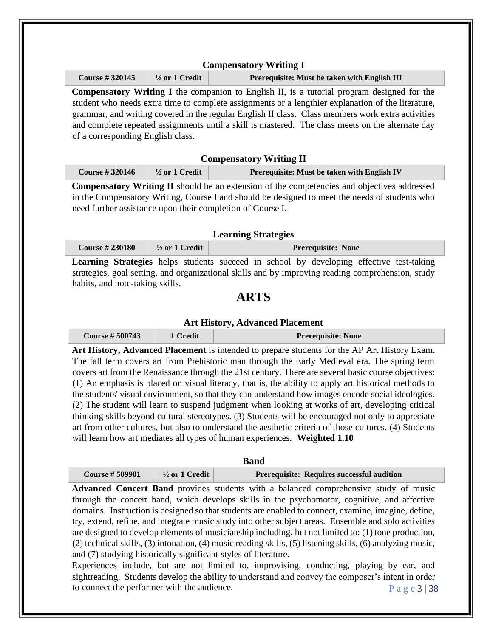## **Compensatory Writing I**

**Course # 320145 ½ or 1 Credit Prerequisite: Must be taken with English III**

**Compensatory Writing I** the companion to English II, is a tutorial program designed for the student who needs extra time to complete assignments or a lengthier explanation of the literature, grammar, and writing covered in the regular English II class. Class members work extra activities and complete repeated assignments until a skill is mastered. The class meets on the alternate day of a corresponding English class.

## **Compensatory Writing II**

| <b>Course #320146</b> | $\frac{1}{2}$ or 1 Credit | Prerequisite: Must be taken with English IV |
|-----------------------|---------------------------|---------------------------------------------|
|                       |                           |                                             |

**Compensatory Writing II** should be an extension of the competencies and objectives addressed in the Compensatory Writing, Course I and should be designed to meet the needs of students who need further assistance upon their completion of Course I.

## **Learning Strategies**

| Course $\# 230180$ | $1/2$ or 1 Credit | <b>Prerequisite: None</b> |
|--------------------|-------------------|---------------------------|
|--------------------|-------------------|---------------------------|

**Learning Strategies** helps students succeed in school by developing effective test-taking strategies, goal setting, and organizational skills and by improving reading comprehension, study habits, and note-taking skills.

# **ARTS**

## **Art History, Advanced Placement**

| Course $#500743$ | 1 Credit | <b>Prerequisite: None</b> |
|------------------|----------|---------------------------|
|------------------|----------|---------------------------|

**Art History, Advanced Placement** is intended to prepare students for the AP Art History Exam. The fall term covers art from Prehistoric man through the Early Medieval era. The spring term covers art from the Renaissance through the 21st century. There are several basic course objectives: (1) An emphasis is placed on visual literacy, that is, the ability to apply art historical methods to the students' visual environment, so that they can understand how images encode social ideologies. (2) The student will learn to suspend judgment when looking at works of art, developing critical thinking skills beyond cultural stereotypes. (3) Students will be encouraged not only to appreciate art from other cultures, but also to understand the aesthetic criteria of those cultures. (4) Students will learn how art mediates all types of human experiences. **Weighted 1.10** 

|                       |                           | Band                                       |
|-----------------------|---------------------------|--------------------------------------------|
| <b>Course #509901</b> | $\frac{1}{2}$ or 1 Credit | Prerequisite: Requires successful audition |

**Advanced Concert Band** provides students with a balanced comprehensive study of music through the concert band, which develops skills in the psychomotor, cognitive, and affective domains. Instruction is designed so that students are enabled to connect, examine, imagine, define, try, extend, refine, and integrate music study into other subject areas. Ensemble and solo activities are designed to develop elements of musicianship including, but not limited to: (1) tone production, (2) technical skills, (3) intonation, (4) music reading skills, (5) listening skills, (6) analyzing music, and (7) studying historically significant styles of literature.

P a g e 3 | 38 Experiences include, but are not limited to, improvising, conducting, playing by ear, and sightreading. Students develop the ability to understand and convey the composer's intent in order to connect the performer with the audience.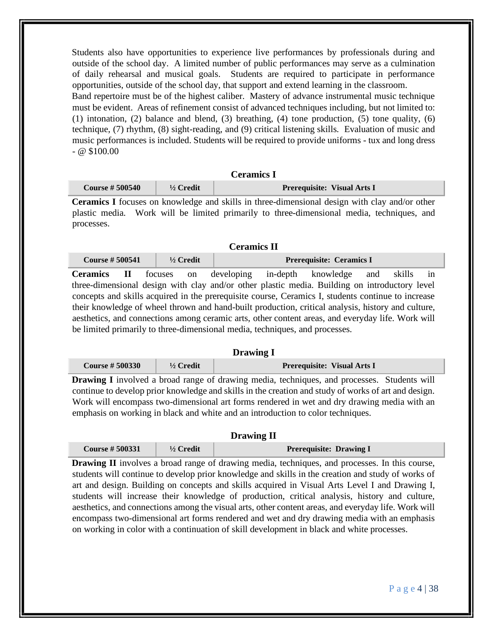Students also have opportunities to experience live performances by professionals during and outside of the school day. A limited number of public performances may serve as a culmination of daily rehearsal and musical goals. Students are required to participate in performance opportunities, outside of the school day, that support and extend learning in the classroom. Band repertoire must be of the highest caliber. Mastery of advance instrumental music technique must be evident. Areas of refinement consist of advanced techniques including, but not limited to: (1) intonation, (2) balance and blend, (3) breathing, (4) tone production, (5) tone quality, (6) technique, (7) rhythm, (8) sight-reading, and (9) critical listening skills. Evaluation of music and music performances is included. Students will be required to provide uniforms - tux and long dress  $@$  \$100.00

# **Ceramics I Course # 500540 ½ Credit Prerequisite: Visual Arts I**

**Ceramics I** focuses on knowledge and skills in three-dimensional design with clay and/or other plastic media. Work will be limited primarily to three-dimensional media, techniques, and processes.

## **Ceramics II**

| <b>Course #500541</b>                                                       |              | $\frac{1}{2}$ Credit |  | Prerequisite: Ceramics I                                                                           |     |        |               |
|-----------------------------------------------------------------------------|--------------|----------------------|--|----------------------------------------------------------------------------------------------------|-----|--------|---------------|
| <b>Ceramics</b>                                                             | $\mathbf{H}$ |                      |  | focuses on developing in-depth knowledge                                                           | and | skills | $\frac{1}{1}$ |
|                                                                             |              |                      |  | three-dimensional design with clay and/or other plastic media. Building on introductory level      |     |        |               |
|                                                                             |              |                      |  | concepts and skills acquired in the prerequisite course, Ceramics I, students continue to increase |     |        |               |
|                                                                             |              |                      |  | their knowledge of wheel thrown and hand-built production, critical analysis, history and culture, |     |        |               |
|                                                                             |              |                      |  | aesthetics, and connections among ceramic arts, other content areas, and everyday life. Work will  |     |        |               |
| be limited primarily to three-dimensional media, techniques, and processes. |              |                      |  |                                                                                                    |     |        |               |

## **Drawing I**

| <b>Course # 500330</b> | $\frac{1}{2}$ Credit | <b>Prerequisite: Visual Arts I</b> |
|------------------------|----------------------|------------------------------------|
|------------------------|----------------------|------------------------------------|

**Drawing I** involved a broad range of drawing media, techniques, and processes. Students will continue to develop prior knowledge and skills in the creation and study of works of art and design. Work will encompass two-dimensional art forms rendered in wet and dry drawing media with an emphasis on working in black and white and an introduction to color techniques.

## **Drawing II**

| <b>Course #500331</b> | $\frac{1}{2}$ Credit | <b>Prerequisite: Drawing I</b> |  |
|-----------------------|----------------------|--------------------------------|--|
| $- - -$               |                      |                                |  |

**Drawing II** involves a broad range of drawing media, techniques, and processes. In this course, students will continue to develop prior knowledge and skills in the creation and study of works of art and design. Building on concepts and skills acquired in Visual Arts Level I and Drawing I, students will increase their knowledge of production, critical analysis, history and culture, aesthetics, and connections among the visual arts, other content areas, and everyday life. Work will encompass two-dimensional art forms rendered and wet and dry drawing media with an emphasis on working in color with a continuation of skill development in black and white processes.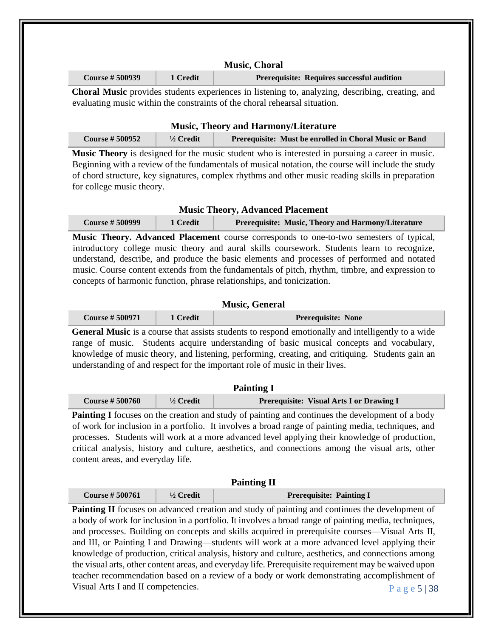| <b>Music, Choral</b>  |          |                                            |  |
|-----------------------|----------|--------------------------------------------|--|
| <b>Course #500939</b> | 1 Credit | Prerequisite: Requires successful audition |  |

**Choral Music** provides students experiences in listening to, analyzing, describing, creating, and evaluating music within the constraints of the choral rehearsal situation.

| <b>Music, Theory and Harmony/Literature</b> |                      |                                                        |  |
|---------------------------------------------|----------------------|--------------------------------------------------------|--|
| <b>Course # 500952</b>                      | $\frac{1}{2}$ Credit | Prerequisite: Must be enrolled in Choral Music or Band |  |

**Music Theory** is designed for the music student who is interested in pursuing a career in music. Beginning with a review of the fundamentals of musical notation, the course will include the study of chord structure, key signatures, complex rhythms and other music reading skills in preparation for college music theory.

## **Music Theory, Advanced Placement**

**Course # 500999 1 Credit Prerequisite: Music, Theory and Harmony/Literature**

**Music Theory. Advanced Placement** course corresponds to one-to-two semesters of typical, introductory college music theory and aural skills coursework. Students learn to recognize, understand, describe, and produce the basic elements and processes of performed and notated music. Course content extends from the fundamentals of pitch, rhythm, timbre, and expression to concepts of harmonic function, phrase relationships, and tonicization.

## **Music, General**

| <b>Course #500971</b> | l Credit | <b>Prerequisite: None</b> |
|-----------------------|----------|---------------------------|
|                       |          |                           |

General Music is a course that assists students to respond emotionally and intelligently to a wide range of music. Students acquire understanding of basic musical concepts and vocabulary, knowledge of music theory, and listening, performing, creating, and critiquing. Students gain an understanding of and respect for the important role of music in their lives.

| <b>Painting I</b>     |                      |                                          |  |
|-----------------------|----------------------|------------------------------------------|--|
| <b>Course #500760</b> | $\frac{1}{2}$ Credit | Prerequisite: Visual Arts I or Drawing I |  |

**Painting I** focuses on the creation and study of painting and continues the development of a body of work for inclusion in a portfolio. It involves a broad range of painting media, techniques, and processes. Students will work at a more advanced level applying their knowledge of production, critical analysis, history and culture, aesthetics, and connections among the visual arts, other content areas, and everyday life.

| <b>Painting II</b>    |                      |                                 |  |
|-----------------------|----------------------|---------------------------------|--|
| <b>Course #500761</b> | $\frac{1}{2}$ Credit | <b>Prerequisite: Painting I</b> |  |

P a g e 5 | 38 **Painting II** focuses on advanced creation and study of painting and continues the development of a body of work for inclusion in a portfolio. It involves a broad range of painting media, techniques, and processes. Building on concepts and skills acquired in prerequisite courses—Visual Arts II, and III, or Painting I and Drawing—students will work at a more advanced level applying their knowledge of production, critical analysis, history and culture, aesthetics, and connections among the visual arts, other content areas, and everyday life. Prerequisite requirement may be waived upon teacher recommendation based on a review of a body or work demonstrating accomplishment of Visual Arts I and II competencies.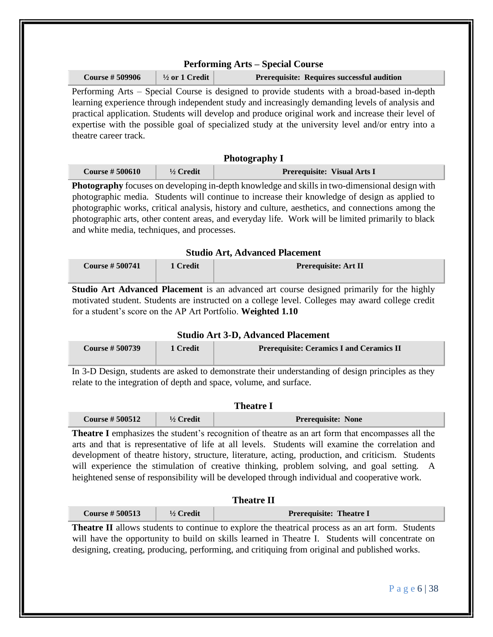| <b>Course #509906</b>                                                                 | $\frac{1}{2}$ or 1 Credit | Prerequisite: Requires successful audition                                                                                                                                                                                                                                                                                                                                                                                                                                                                                                                                                                                                                                                                                                                             |
|---------------------------------------------------------------------------------------|---------------------------|------------------------------------------------------------------------------------------------------------------------------------------------------------------------------------------------------------------------------------------------------------------------------------------------------------------------------------------------------------------------------------------------------------------------------------------------------------------------------------------------------------------------------------------------------------------------------------------------------------------------------------------------------------------------------------------------------------------------------------------------------------------------|
| theatre career track.                                                                 |                           | Performing Arts – Special Course is designed to provide students with a broad-based in-depth<br>learning experience through independent study and increasingly demanding levels of analysis and<br>practical application. Students will develop and produce original work and increase their level of<br>expertise with the possible goal of specialized study at the university level and/or entry into a                                                                                                                                                                                                                                                                                                                                                             |
|                                                                                       |                           | <b>Photography I</b>                                                                                                                                                                                                                                                                                                                                                                                                                                                                                                                                                                                                                                                                                                                                                   |
| <b>Course #500610</b>                                                                 | 1/2 Credit                | Prerequisite: Visual Arts I                                                                                                                                                                                                                                                                                                                                                                                                                                                                                                                                                                                                                                                                                                                                            |
| and white media, techniques, and processes.                                           |                           | photographic works, critical analysis, history and culture, aesthetics, and connections among the<br>photographic arts, other content areas, and everyday life. Work will be limited primarily to black<br><b>Studio Art, Advanced Placement</b>                                                                                                                                                                                                                                                                                                                                                                                                                                                                                                                       |
|                                                                                       |                           |                                                                                                                                                                                                                                                                                                                                                                                                                                                                                                                                                                                                                                                                                                                                                                        |
| <b>Course #500741</b><br>for a student's score on the AP Art Portfolio. Weighted 1.10 | 1 Credit                  | Prerequisite: Art II                                                                                                                                                                                                                                                                                                                                                                                                                                                                                                                                                                                                                                                                                                                                                   |
| <b>Course # 500739</b>                                                                | 1 Credit                  | <b>Studio Art 3-D, Advanced Placement</b><br><b>Prerequisite: Ceramics I and Ceramics II</b>                                                                                                                                                                                                                                                                                                                                                                                                                                                                                                                                                                                                                                                                           |
|                                                                                       |                           | relate to the integration of depth and space, volume, and surface.                                                                                                                                                                                                                                                                                                                                                                                                                                                                                                                                                                                                                                                                                                     |
|                                                                                       |                           | <b>Theatre I</b>                                                                                                                                                                                                                                                                                                                                                                                                                                                                                                                                                                                                                                                                                                                                                       |
| <b>Course #500512</b>                                                                 | 1/2 Credit                | Prerequisite: None                                                                                                                                                                                                                                                                                                                                                                                                                                                                                                                                                                                                                                                                                                                                                     |
|                                                                                       |                           | heightened sense of responsibility will be developed through individual and cooperative work.                                                                                                                                                                                                                                                                                                                                                                                                                                                                                                                                                                                                                                                                          |
| <b>Course #500513</b>                                                                 | $1/2$ Credit              | Studio Art Advanced Placement is an advanced art course designed primarily for the highly<br>motivated student. Students are instructed on a college level. Colleges may award college credit<br>In 3-D Design, students are asked to demonstrate their understanding of design principles as they<br>Theatre I emphasizes the student's recognition of theatre as an art form that encompasses all the<br>arts and that is representative of life at all levels. Students will examine the correlation and<br>development of theatre history, structure, literature, acting, production, and criticism. Students<br>will experience the stimulation of creative thinking, problem solving, and goal setting. A<br><b>Theatre II</b><br><b>Prerequisite: Theatre I</b> |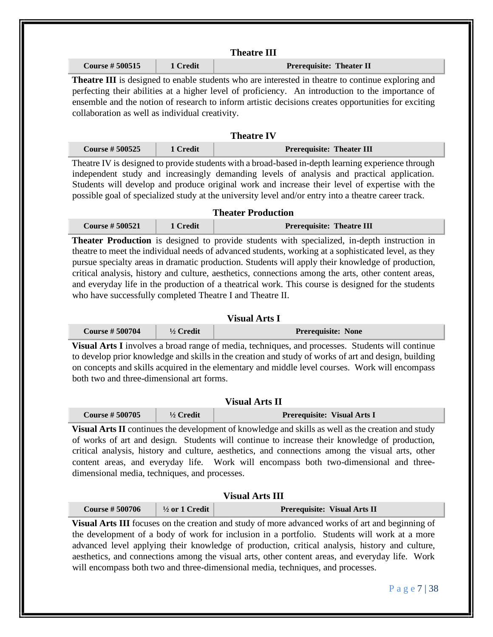| <b>Course #500515</b>                                     | 1 Credit     | <b>Prerequisite: Theater II</b>                                                                                                                                                                                                                                                                                                                                                                                            |
|-----------------------------------------------------------|--------------|----------------------------------------------------------------------------------------------------------------------------------------------------------------------------------------------------------------------------------------------------------------------------------------------------------------------------------------------------------------------------------------------------------------------------|
| collaboration as well as individual creativity.           |              | Theatre III is designed to enable students who are interested in theatre to continue exploring and<br>perfecting their abilities at a higher level of proficiency. An introduction to the importance of<br>ensemble and the notion of research to inform artistic decisions creates opportunities for exciting                                                                                                             |
|                                                           |              | <b>Theatre IV</b>                                                                                                                                                                                                                                                                                                                                                                                                          |
| <b>Course #500525</b>                                     | 1 Credit     | <b>Prerequisite: Theater III</b>                                                                                                                                                                                                                                                                                                                                                                                           |
|                                                           |              | Theatre IV is designed to provide students with a broad-based in-depth learning experience through<br>independent study and increasingly demanding levels of analysis and practical application.<br>Students will develop and produce original work and increase their level of expertise with the<br>possible goal of specialized study at the university level and/or entry into a theatre career track.                 |
|                                                           |              | <b>Theater Production</b>                                                                                                                                                                                                                                                                                                                                                                                                  |
| <b>Course #500521</b>                                     | 1 Credit     | <b>Prerequisite: Theatre III</b>                                                                                                                                                                                                                                                                                                                                                                                           |
|                                                           |              | theatre to meet the individual needs of advanced students, working at a sophisticated level, as they<br>pursue specialty areas in dramatic production. Students will apply their knowledge of production,<br>critical analysis, history and culture, aesthetics, connections among the arts, other content areas,<br>and everyday life in the production of a theatrical work. This course is designed for the students    |
| who have successfully completed Theatre I and Theatre II. |              | <b>Visual Arts I</b>                                                                                                                                                                                                                                                                                                                                                                                                       |
| <b>Course #500704</b>                                     | $1/2$ Credit | Prerequisite: None                                                                                                                                                                                                                                                                                                                                                                                                         |
| both two and three-dimensional art forms.                 |              | Visual Arts I involves a broad range of media, techniques, and processes. Students will continue<br>to develop prior knowledge and skills in the creation and study of works of art and design, building<br>on concepts and skills acquired in the elementary and middle level courses. Work will encompass<br><b>Visual Arts II</b>                                                                                       |
| <b>Course #500705</b>                                     | $1/2$ Credit | Prerequisite: Visual Arts I                                                                                                                                                                                                                                                                                                                                                                                                |
| dimensional media, techniques, and processes.             |              |                                                                                                                                                                                                                                                                                                                                                                                                                            |
|                                                           |              | Visual Arts II continues the development of knowledge and skills as well as the creation and study<br>of works of art and design. Students will continue to increase their knowledge of production,<br>critical analysis, history and culture, aesthetics, and connections among the visual arts, other<br>content areas, and everyday life. Work will encompass both two-dimensional and three-<br><b>Visual Arts III</b> |

**Visual Arts III** focuses on the creation and study of more advanced works of art and beginning of the development of a body of work for inclusion in a portfolio. Students will work at a more advanced level applying their knowledge of production, critical analysis, history and culture, aesthetics, and connections among the visual arts, other content areas, and everyday life. Work will encompass both two and three-dimensional media, techniques, and processes.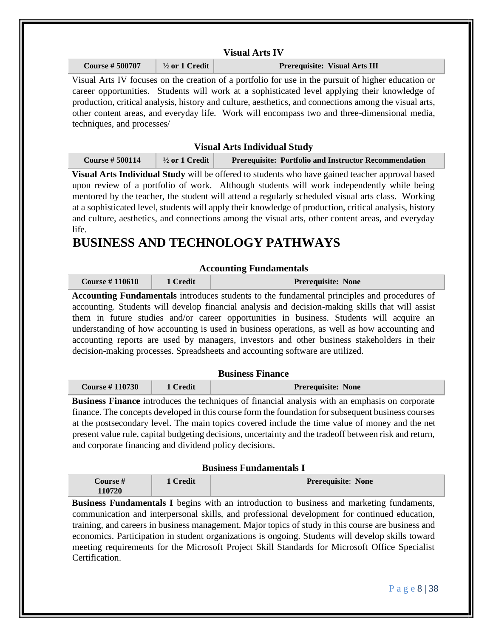|                                                                                                                                                                                                                                                                                                                                                                                                                                                                                                                            |                           | <b>Visual Arts IV</b>                                                                                                                                                                                                                                                                                                                                                                                          |  |
|----------------------------------------------------------------------------------------------------------------------------------------------------------------------------------------------------------------------------------------------------------------------------------------------------------------------------------------------------------------------------------------------------------------------------------------------------------------------------------------------------------------------------|---------------------------|----------------------------------------------------------------------------------------------------------------------------------------------------------------------------------------------------------------------------------------------------------------------------------------------------------------------------------------------------------------------------------------------------------------|--|
| <b>Course #500707</b>                                                                                                                                                                                                                                                                                                                                                                                                                                                                                                      | $\frac{1}{2}$ or 1 Credit | Prerequisite: Visual Arts III                                                                                                                                                                                                                                                                                                                                                                                  |  |
| techniques, and processes/                                                                                                                                                                                                                                                                                                                                                                                                                                                                                                 |                           | Visual Arts IV focuses on the creation of a portfolio for use in the pursuit of higher education or<br>career opportunities. Students will work at a sophisticated level applying their knowledge of<br>production, critical analysis, history and culture, aesthetics, and connections among the visual arts,<br>other content areas, and everyday life. Work will encompass two and three-dimensional media, |  |
|                                                                                                                                                                                                                                                                                                                                                                                                                                                                                                                            |                           | <b>Visual Arts Individual Study</b>                                                                                                                                                                                                                                                                                                                                                                            |  |
| <b>Course #500114</b>                                                                                                                                                                                                                                                                                                                                                                                                                                                                                                      | $\frac{1}{2}$ or 1 Credit | Prerequisite: Portfolio and Instructor Recommendation                                                                                                                                                                                                                                                                                                                                                          |  |
| Visual Arts Individual Study will be offered to students who have gained teacher approval based<br>upon review of a portfolio of work. Although students will work independently while being<br>mentored by the teacher, the student will attend a regularly scheduled visual arts class. Working<br>at a sophisticated level, students will apply their knowledge of production, critical analysis, history<br>and culture, aesthetics, and connections among the visual arts, other content areas, and everyday<br>life. |                           |                                                                                                                                                                                                                                                                                                                                                                                                                |  |
|                                                                                                                                                                                                                                                                                                                                                                                                                                                                                                                            |                           |                                                                                                                                                                                                                                                                                                                                                                                                                |  |
|                                                                                                                                                                                                                                                                                                                                                                                                                                                                                                                            |                           | <b>BUSINESS AND TECHNOLOGY PATHWAYS</b>                                                                                                                                                                                                                                                                                                                                                                        |  |
|                                                                                                                                                                                                                                                                                                                                                                                                                                                                                                                            |                           | <b>Accounting Fundamentals</b>                                                                                                                                                                                                                                                                                                                                                                                 |  |

**heartals** introduces students to the fundamental principles and procedures of accounting. Students will develop financial analysis and decision-making skills that will assist them in future studies and/or career opportunities in business. Students will acquire an understanding of how accounting is used in business operations, as well as how accounting and accounting reports are used by managers, investors and other business stakeholders in their decision-making processes. Spreadsheets and accounting software are utilized.

| <b>Business Finance</b> |          |                           |  |
|-------------------------|----------|---------------------------|--|
| <b>Course #110730</b>   | 1 Credit | <b>Prerequisite: None</b> |  |

**Business Finance** introduces the techniques of financial analysis with an emphasis on corporate finance. The concepts developed in this course form the foundation for subsequent business courses at the postsecondary level. The main topics covered include the time value of money and the net present value rule, capital budgeting decisions, uncertainty and the tradeoff between risk and return, and corporate financing and dividend policy decisions.

## **Business Fundamentals I**

| Course # | 1 Credit | <b>Prerequisite: None</b> |
|----------|----------|---------------------------|
| 110720   |          |                           |

**Business Fundamentals I** begins with an introduction to business and marketing fundaments, communication and interpersonal skills, and professional development for continued education, training, and careers in business management. Major topics of study in this course are business and economics. Participation in student organizations is ongoing. Students will develop skills toward meeting requirements for the Microsoft Project Skill Standards for Microsoft Office Specialist Certification.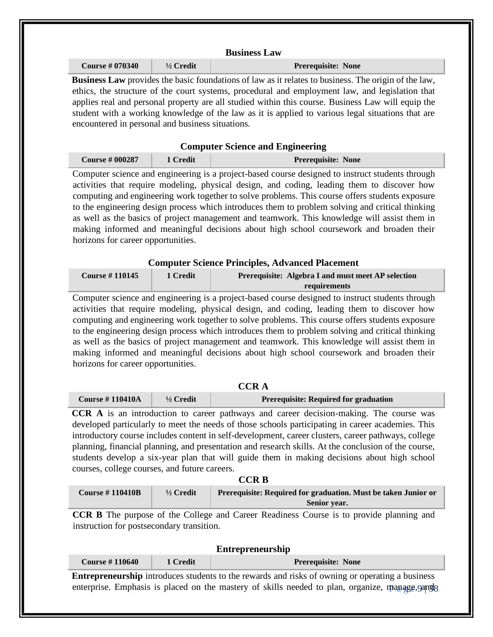| <b>Business Law</b>   |                      |                                                                                                                                                                                                                |  |
|-----------------------|----------------------|----------------------------------------------------------------------------------------------------------------------------------------------------------------------------------------------------------------|--|
| <b>Course #070340</b> | $\frac{1}{2}$ Credit | <b>Prerequisite: None</b>                                                                                                                                                                                      |  |
|                       |                      | <b>Business Law</b> provides the basic foundations of law as it relates to business. The origin of the law,<br>ethics, the structure of the court systems, procedural and employment law, and legislation that |  |

| <b>Course # 000287</b> | 1 Credit | <b>Prerequisite: None</b> |  |  |
|------------------------|----------|---------------------------|--|--|
|                        |          |                           |  |  |

Computer science and engineering is a project-based course designed to instruct students through activities that require modeling, physical design, and coding, leading them to discover how computing and engineering work together to solve problems. This course offers students exposure to the engineering design process which introduces them to problem solving and critical thinking as well as the basics of project management and teamwork. This knowledge will assist them in making informed and meaningful decisions about high school coursework and broaden their horizons for career opportunities.

## **Computer Science Principles, Advanced Placement**

| <b>Course #110145</b> | 1 Credit | <b>Prerequisite: Algebra I and must meet AP selection</b> |
|-----------------------|----------|-----------------------------------------------------------|
|                       |          | requirements                                              |

Computer science and engineering is a project-based course designed to instruct students through activities that require modeling, physical design, and coding, leading them to discover how computing and engineering work together to solve problems. This course offers students exposure to the engineering design process which introduces them to problem solving and critical thinking as well as the basics of project management and teamwork. This knowledge will assist them in making informed and meaningful decisions about high school coursework and broaden their horizons for career opportunities.

| <b>CCRA</b>         |                      |                                              |  |
|---------------------|----------------------|----------------------------------------------|--|
| Course $\#$ 110410A | $\frac{1}{2}$ Credit | <b>Prerequisite: Required for graduation</b> |  |

**CCR A** is an introduction to career pathways and career decision-making. The course was developed particularly to meet the needs of those schools participating in career academies. This introductory course includes content in self-development, career clusters, career pathways, college planning, financial planning, and presentation and research skills. At the conclusion of the course, students develop a six-year plan that will guide them in making decisions about high school courses, college courses, and future careers.

| ×<br>× |  |
|--------|--|
|--------|--|

| <b>Course # 110410B</b> | $\frac{1}{2}$ Credit | Prerequisite: Required for graduation. Must be taken Junior or |
|-------------------------|----------------------|----------------------------------------------------------------|
|                         |                      | <b>Senior year.</b>                                            |

**CCR B** The purpose of the College and Career Readiness Course is to provide planning and instruction for postsecondary transition.

| <b>Entrepreneurship</b>                                                                                |          |                           |
|--------------------------------------------------------------------------------------------------------|----------|---------------------------|
| <b>Course #110640</b>                                                                                  | 1 Credit | <b>Prerequisite: None</b> |
| <b>Entrepreneurship</b> introduces students to the rewards and risks of owning or operating a business |          |                           |
| enterprise. Emphasis is placed on the mastery of skills needed to plan, organize, manage, 9ang8        |          |                           |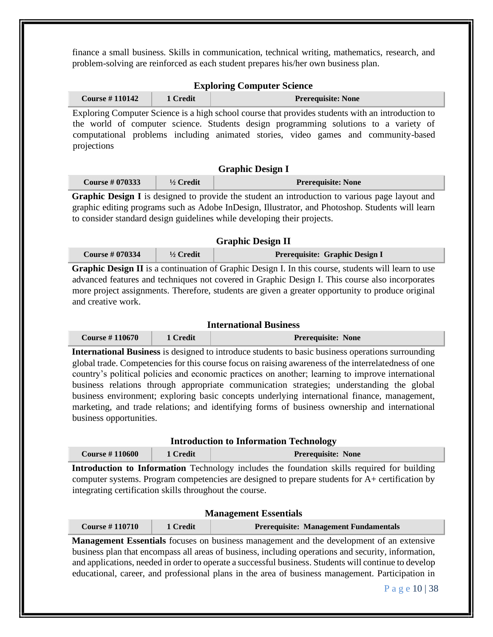finance a small business. Skills in communication, technical writing, mathematics, research, and problem-solving are reinforced as each student prepares his/her own business plan.

|  | <b>Exploring Computer Science</b> |  |
|--|-----------------------------------|--|
|--|-----------------------------------|--|

| <b>Course #110142</b> | 1 Credit | <b>Prerequisite: None</b>                                                                         |
|-----------------------|----------|---------------------------------------------------------------------------------------------------|
|                       |          | Exploring Computer Science is a high school course that provides students with an introduction to |
|                       |          | the world of computer science. Students design programming solutions to a variety of              |
|                       |          | computational problems including animated stories, video games and community-based                |
| projections           |          |                                                                                                   |

## **Graphic Design I**

| <b>Course #070333</b> | $\frac{1}{2}$ Credit | <b>Prerequisite: None</b> |
|-----------------------|----------------------|---------------------------|
|                       |                      |                           |

**Graphic Design I** is designed to provide the student an introduction to various page layout and graphic editing programs such as Adobe InDesign, Illustrator, and Photoshop. Students will learn to consider standard design guidelines while developing their projects.

### **Graphic Design II**

| <b>Course #070334</b> | $\frac{1}{2}$ Credit | <b>Prerequisite: Graphic Design I</b> |
|-----------------------|----------------------|---------------------------------------|
|-----------------------|----------------------|---------------------------------------|

**Graphic Design II** is a continuation of Graphic Design I. In this course, students will learn to use advanced features and techniques not covered in Graphic Design I. This course also incorporates more project assignments. Therefore, students are given a greater opportunity to produce original and creative work.

## **International Business**

| <b>Course #110670</b> | 1 Credit | <b>Prerequisite: None</b> |
|-----------------------|----------|---------------------------|
|-----------------------|----------|---------------------------|

**International Business** is designed to introduce students to basic business operations surrounding global trade. Competencies for this course focus on raising awareness of the interrelatedness of one country's political policies and economic practices on another; learning to improve international business relations through appropriate communication strategies; understanding the global business environment; exploring basic concepts underlying international finance, management, marketing, and trade relations; and identifying forms of business ownership and international business opportunities.

#### **Introduction to Information Technology**

| <b>Course #110600</b> | 1 Credit | <b>Prerequisite: None</b> |
|-----------------------|----------|---------------------------|
|-----------------------|----------|---------------------------|

**Introduction to Information** Technology includes the foundation skills required for building computer systems. Program competencies are designed to prepare students for A+ certification by integrating certification skills throughout the course.

### **Management Essentials**

|  | <b>Course # 110710</b> | 1 Credit | <b>Prerequisite: Management Fundamentals</b> |
|--|------------------------|----------|----------------------------------------------|
|--|------------------------|----------|----------------------------------------------|

**Management Essentials** focuses on business management and the development of an extensive business plan that encompass all areas of business, including operations and security, information, and applications, needed in order to operate a successful business. Students will continue to develop educational, career, and professional plans in the area of business management. Participation in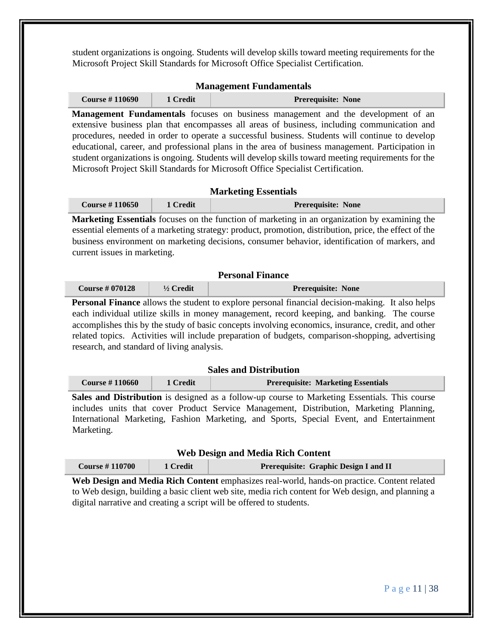student organizations is ongoing. Students will develop skills toward meeting requirements for the Microsoft Project Skill Standards for Microsoft Office Specialist Certification.

## **Management Fundamentals**

| <b>Course #110690</b><br>1 Credit | <b>Prerequisite: None</b> |
|-----------------------------------|---------------------------|
|-----------------------------------|---------------------------|

**Management Fundamentals** focuses on business management and the development of an extensive business plan that encompasses all areas of business, including communication and procedures, needed in order to operate a successful business. Students will continue to develop educational, career, and professional plans in the area of business management. Participation in student organizations is ongoing. Students will develop skills toward meeting requirements for the Microsoft Project Skill Standards for Microsoft Office Specialist Certification.

## **Marketing Essentials**

| <b>Course #110650</b> | 1 Credit | <b>Prerequisite: None</b> |
|-----------------------|----------|---------------------------|
|-----------------------|----------|---------------------------|

**Marketing Essentials** focuses on the function of marketing in an organization by examining the essential elements of a marketing strategy: product, promotion, distribution, price, the effect of the business environment on marketing decisions, consumer behavior, identification of markers, and current issues in marketing.

## **Personal Finance**

| <b>Course #070128</b> | $\frac{1}{2}$ Credit | <b>Prerequisite: None</b> |
|-----------------------|----------------------|---------------------------|
|-----------------------|----------------------|---------------------------|

**Personal Finance** allows the student to explore personal financial decision-making. It also helps each individual utilize skills in money management, record keeping, and banking. The course accomplishes this by the study of basic concepts involving economics, insurance, credit, and other related topics. Activities will include preparation of budgets, comparison-shopping, advertising research, and standard of living analysis.

#### **Sales and Distribution**

| <b>Course # 110660</b> | 1 Credit | <b>Prerequisite: Marketing Essentials</b> |
|------------------------|----------|-------------------------------------------|
|                        |          |                                           |

**Sales and Distribution** is designed as a follow-up course to Marketing Essentials. This course includes units that cover Product Service Management, Distribution, Marketing Planning, International Marketing, Fashion Marketing, and Sports, Special Event, and Entertainment Marketing.

#### **Web Design and Media Rich Content**

| <b>Course #110700</b> | 1 Credit | <b>Prerequisite: Graphic Design I and II</b> |
|-----------------------|----------|----------------------------------------------|
|-----------------------|----------|----------------------------------------------|

**Web Design and Media Rich Content** emphasizes real-world, hands-on practice. Content related to Web design, building a basic client web site, media rich content for Web design, and planning a digital narrative and creating a script will be offered to students.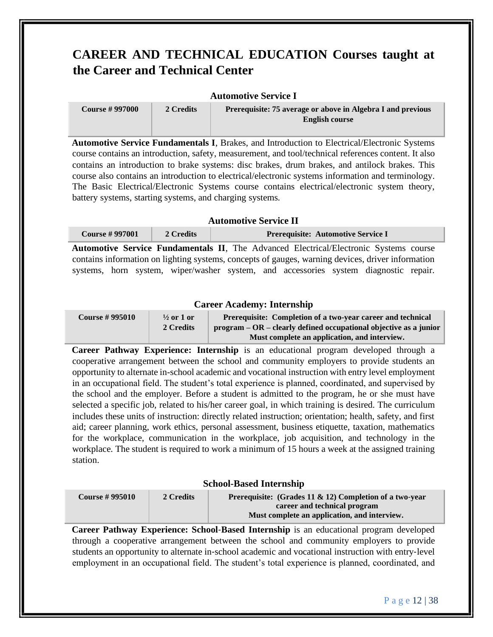# **CAREER AND TECHNICAL EDUCATION Courses taught at the Career and Technical Center**

#### **Automotive Service I**

**Course # 997000 2 Credits Prerequisite: 75 average or above in Algebra I and previous English course**

**Automotive Service Fundamentals I**, Brakes, and Introduction to Electrical/Electronic Systems course contains an introduction, safety, measurement, and tool/technical references content. It also contains an introduction to brake systems: disc brakes, drum brakes, and antilock brakes. This course also contains an introduction to electrical/electronic systems information and terminology. The Basic Electrical/Electronic Systems course contains electrical/electronic system theory, battery systems, starting systems, and charging systems.

## **Automotive Service II**

| <b>Course #997001</b> | 2 Credits | <b>Prerequisite: Automotive Service I</b>                                                         |
|-----------------------|-----------|---------------------------------------------------------------------------------------------------|
|                       |           | <b>Automotive Service Fundamentals II, The Advanced Electrical/Electronic Systems course</b>      |
|                       |           | contains information on lighting systems, concepts of gauges, warning devices, driver information |

systems, horn system, wiper/washer system, and accessories system diagnostic repair.

## **Career Academy: Internship**

| <b>Course #995010</b> | $\frac{1}{2}$ or 1 or | Prerequisite: Completion of a two-year career and technical         |
|-----------------------|-----------------------|---------------------------------------------------------------------|
|                       | 2 Credits             | $program - OR - clearly defined occupational objective as a junior$ |
|                       |                       | Must complete an application, and interview.                        |

**Career Pathway Experience: Internship** is an educational program developed through a cooperative arrangement between the school and community employers to provide students an opportunity to alternate in-school academic and vocational instruction with entry level employment in an occupational field. The student's total experience is planned, coordinated, and supervised by the school and the employer. Before a student is admitted to the program, he or she must have selected a specific job, related to his/her career goal, in which training is desired. The curriculum includes these units of instruction: directly related instruction; orientation; health, safety, and first aid; career planning, work ethics, personal assessment, business etiquette, taxation, mathematics for the workplace, communication in the workplace, job acquisition, and technology in the workplace. The student is required to work a minimum of 15 hours a week at the assigned training station.

#### **School-Based Internship**

| <b>Course #995010</b> | 2 Credits | <b>Prerequisite:</b> (Grades 11 $\&$ 12) Completion of a two-year |
|-----------------------|-----------|-------------------------------------------------------------------|
|                       |           | career and technical program                                      |
|                       |           | Must complete an application, and interview.                      |

**Career Pathway Experience: School**‐**Based Internship** is an educational program developed through a cooperative arrangement between the school and community employers to provide students an opportunity to alternate in‐school academic and vocational instruction with entry‐level employment in an occupational field. The student's total experience is planned, coordinated, and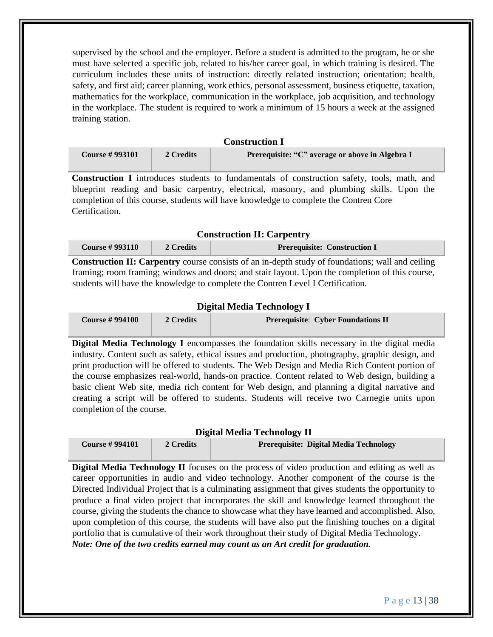supervised by the school and the employer. Before a student is admitted to the program, he or she must have selected a specific job, related to his/her career goal, in which training is desired. The curriculum includes these units of instruction: directly related instruction; orientation; health, safety, and first aid; career planning, work ethics, personal assessment, business etiquette, taxation, mathematics for the workplace, communication in the workplace, job acquisition, and technology in the workplace. The student is required to work a minimum of 15 hours a week at the assigned training station.

| Construction 1        |           |                                                 |
|-----------------------|-----------|-------------------------------------------------|
| <b>Course #993101</b> | 2 Credits | Prerequisite: "C" average or above in Algebra I |

**Construction I**

**Construction I** introduces students to fundamentals of construction safety, tools, math, and blueprint reading and basic carpentry, electrical, masonry, and plumbing skills. Upon the completion of this course, students will have knowledge to complete the Contren Core Certification.

## **Construction II: Carpentry**

| Course $\#$ 993110 | 2 Credits | <b>Prerequisite: Construction I</b> |
|--------------------|-----------|-------------------------------------|
|--------------------|-----------|-------------------------------------|

**Construction II: Carpentry** course consists of an in-depth study of foundations; wall and ceiling framing; room framing; windows and doors; and stair layout. Upon the completion of this course, students will have the knowledge to complete the Contren Level I Certification.

#### **Digital Media Technology I**

| <b>Course #994100</b> | 2 Credits | <b>Prerequisite: Cyber Foundations II</b> |
|-----------------------|-----------|-------------------------------------------|
|                       |           |                                           |

**Digital Media Technology I** encompasses the foundation skills necessary in the digital media industry. Content such as safety, ethical issues and production, photography, graphic design, and print production will be offered to students. The Web Design and Media Rich Content portion of the course emphasizes real-world, hands-on practice. Content related to Web design, building a basic client Web site, media rich content for Web design, and planning a digital narrative and creating a script will be offered to students. Students will receive two Carnegie units upon completion of the course.

#### **Digital Media Technology II**

| <b>Course #994101</b> | 2 Credits | Prerequisite: Digital Media Technology |
|-----------------------|-----------|----------------------------------------|
|                       |           |                                        |

**Digital Media Technology II** focuses on the process of video production and editing as well as career opportunities in audio and video technology. Another component of the course is the Directed Individual Project that is a culminating assignment that gives students the opportunity to produce a final video project that incorporates the skill and knowledge learned throughout the course, giving the students the chance to showcase what they have learned and accomplished. Also, upon completion of this course, the students will have also put the finishing touches on a digital portfolio that is cumulative of their work throughout their study of Digital Media Technology. *Note: One of the two credits earned may count as an Art credit for graduation.*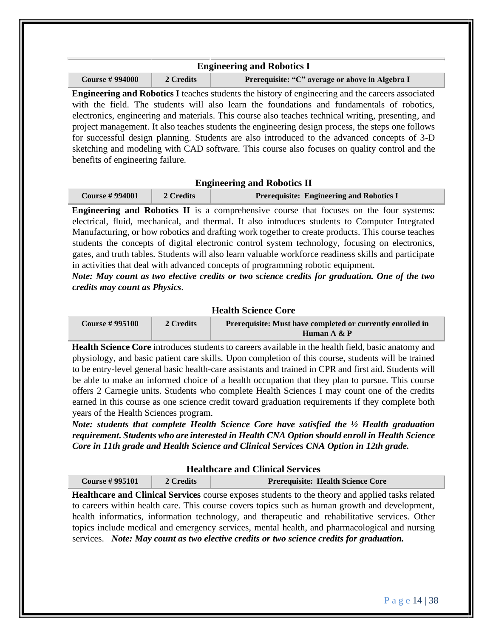| <b>Engineering and Robotics I</b>                                                                        |  |  |  |
|----------------------------------------------------------------------------------------------------------|--|--|--|
| <b>Course #994000</b><br>Prerequisite: "C" average or above in Algebra I<br>2 Credits                    |  |  |  |
| <b>Engineering and Depaties I teaches students the history of engineering and the concern associated</b> |  |  |  |

**Engineering and Robotics I** teaches students the history of engineering and the careers associated with the field. The students will also learn the foundations and fundamentals of robotics, electronics, engineering and materials. This course also teaches technical writing, presenting, and project management. It also teaches students the engineering design process, the steps one follows for successful design planning. Students are also introduced to the advanced concepts of 3-D sketching and modeling with CAD software. This course also focuses on quality control and the benefits of engineering failure.

#### **Engineering and Robotics II**

| <b>Course # 994001</b> | 2 Credits | <b>Prerequisite: Engineering and Robotics I</b> |
|------------------------|-----------|-------------------------------------------------|
|------------------------|-----------|-------------------------------------------------|

**Engineering and Robotics II** is a comprehensive course that focuses on the four systems: electrical, fluid, mechanical, and thermal. It also introduces students to Computer Integrated Manufacturing, or how robotics and drafting work together to create products. This course teaches students the concepts of digital electronic control system technology, focusing on electronics, gates, and truth tables. Students will also learn valuable workforce readiness skills and participate in activities that deal with advanced concepts of programming robotic equipment.

*Note: May count as two elective credits or two science credits for graduation. One of the two credits may count as Physics.* 

## **Health Science Core**

| <b>Course # 995100</b> | 2 Credits | Prerequisite: Must have completed or currently enrolled in |
|------------------------|-----------|------------------------------------------------------------|
|                        |           | Human A & P                                                |

**Health Science Core** introduces students to careers available in the health field, basic anatomy and physiology, and basic patient care skills. Upon completion of this course, students will be trained to be entry-level general basic health-care assistants and trained in CPR and first aid. Students will be able to make an informed choice of a health occupation that they plan to pursue. This course offers 2 Carnegie units. Students who complete Health Sciences I may count one of the credits earned in this course as one science credit toward graduation requirements if they complete both years of the Health Sciences program.

*Note: students that complete Health Science Core have satisfied the ½ Health graduation requirement. Students who are interested in Health CNA Option should enroll in Health Science Core in 11th grade and Health Science and Clinical Services CNA Option in 12th grade.* 

| <b>Healthcare and Clinical Services</b> |           |                                          |  |  |
|-----------------------------------------|-----------|------------------------------------------|--|--|
| <b>Course #995101</b>                   | 2 Credits | <b>Prerequisite: Health Science Core</b> |  |  |
| TT 1.1<br>1 <i>C</i> HI • 1 C           |           | .                                        |  |  |

**Healthcare and Clinical Services** course exposes students to the theory and applied tasks related to careers within health care. This course covers topics such as human growth and development, health informatics, information technology, and therapeutic and rehabilitative services. Other topics include medical and emergency services, mental health, and pharmacological and nursing services. *Note: May count as two elective credits or two science credits for graduation.*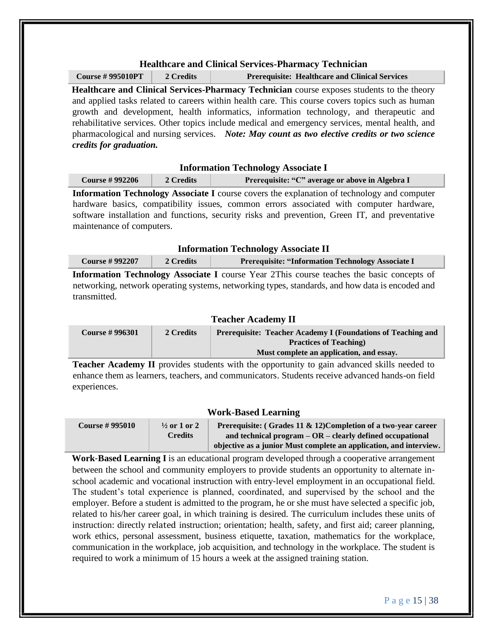## **Healthcare and Clinical Services-Pharmacy Technician**

**Course # 995010PT 2 Credits Prerequisite: Healthcare and Clinical Services**

**Healthcare and Clinical Services-Pharmacy Technician** course exposes students to the theory and applied tasks related to careers within health care. This course covers topics such as human growth and development, health informatics, information technology, and therapeutic and rehabilitative services. Other topics include medical and emergency services, mental health, and pharmacological and nursing services. *Note: May count as two elective credits or two science credits for graduation.* 

#### **Information Technology Associate I**

| <b>Course #992206</b> | 2 Credits | Prerequisite: "C" average or above in Algebra I |
|-----------------------|-----------|-------------------------------------------------|
|                       |           |                                                 |

**Information Technology Associate I** course covers the explanation of technology and computer hardware basics, compatibility issues, common errors associated with computer hardware, software installation and functions, security risks and prevention, Green IT, and preventative maintenance of computers.

| <b>Information Technology Associate II</b> |           |                                                          |
|--------------------------------------------|-----------|----------------------------------------------------------|
| <b>Course #992207</b>                      | 2 Credits | <b>Prerequisite: "Information Technology Associate I</b> |

**Information Technology Associate I** course Year 2This course teaches the basic concepts of networking, network operating systems, networking types, standards, and how data is encoded and transmitted.

## **Teacher Academy II**

| <b>Course #996301</b> | 2 Credits | <b>Prerequisite: Teacher Academy I (Foundations of Teaching and </b> |
|-----------------------|-----------|----------------------------------------------------------------------|
|                       |           | <b>Practices of Teaching</b>                                         |
|                       |           | Must complete an application, and essay.                             |

**Teacher Academy II** provides students with the opportunity to gain advanced skills needed to enhance them as learners, teachers, and communicators. Students receive advanced hands-on field experiences.

#### **Work-Based Learning**

**Course # 995010 ½ or 1 or 2 Credits Prerequisite: ( Grades 11 & 12)Completion of a two**‐**year career and technical program – OR – clearly defined occupational objective as a junior Must complete an application, and interview.**

**Work**‐**Based Learning I** is an educational program developed through a cooperative arrangement between the school and community employers to provide students an opportunity to alternate in‐ school academic and vocational instruction with entry-level employment in an occupational field. The student's total experience is planned, coordinated, and supervised by the school and the employer. Before a student is admitted to the program, he or she must have selected a specific job, related to his/her career goal, in which training is desired. The curriculum includes these units of instruction: directly related instruction; orientation; health, safety, and first aid; career planning, work ethics, personal assessment, business etiquette, taxation, mathematics for the workplace, communication in the workplace, job acquisition, and technology in the workplace. The student is required to work a minimum of 15 hours a week at the assigned training station.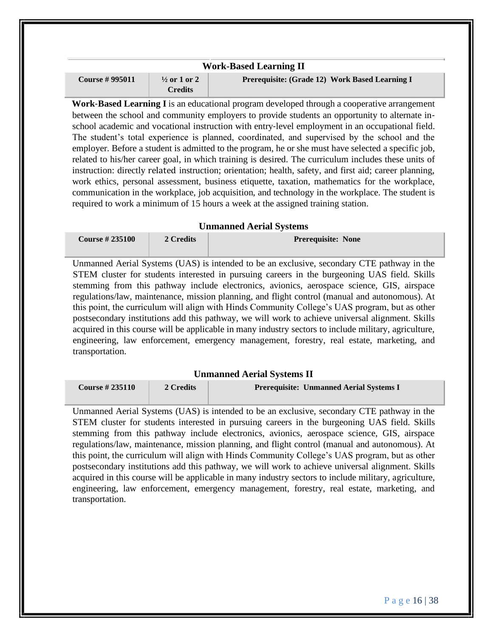| <b>Work-Based Learning II</b> |                                           |                                                |
|-------------------------------|-------------------------------------------|------------------------------------------------|
| <b>Course #995011</b>         | $\frac{1}{2}$ or 1 or 2<br><b>Credits</b> | Prerequisite: (Grade 12) Work Based Learning I |

**Work**‐**Based Learning I** is an educational program developed through a cooperative arrangement between the school and community employers to provide students an opportunity to alternate inschool academic and vocational instruction with entry-level employment in an occupational field. The student's total experience is planned, coordinated, and supervised by the school and the employer. Before a student is admitted to the program, he or she must have selected a specific job, related to his/her career goal, in which training is desired. The curriculum includes these units of instruction: directly related instruction; orientation; health, safety, and first aid; career planning, work ethics, personal assessment, business etiquette, taxation, mathematics for the workplace, communication in the workplace, job acquisition, and technology in the workplace. The student is required to work a minimum of 15 hours a week at the assigned training station.

#### **Unmanned Aerial Systems**

| <b>Course #235100</b> | 2 Credits | <b>Prerequisite: None</b> |
|-----------------------|-----------|---------------------------|
|                       |           |                           |

Unmanned Aerial Systems (UAS) is intended to be an exclusive, secondary CTE pathway in the STEM cluster for students interested in pursuing careers in the burgeoning UAS field. Skills stemming from this pathway include electronics, avionics, aerospace science, GIS, airspace regulations/law, maintenance, mission planning, and flight control (manual and autonomous). At this point, the curriculum will align with Hinds Community College's UAS program, but as other postsecondary institutions add this pathway, we will work to achieve universal alignment. Skills acquired in this course will be applicable in many industry sectors to include military, agriculture, engineering, law enforcement, emergency management, forestry, real estate, marketing, and transportation.

#### **Unmanned Aerial Systems II**

| Course $\# 235110$ | 2 Credits | <b>Prerequisite: Unmanned Aerial Systems I</b> |
|--------------------|-----------|------------------------------------------------|
|                    |           |                                                |

Unmanned Aerial Systems (UAS) is intended to be an exclusive, secondary CTE pathway in the STEM cluster for students interested in pursuing careers in the burgeoning UAS field. Skills stemming from this pathway include electronics, avionics, aerospace science, GIS, airspace regulations/law, maintenance, mission planning, and flight control (manual and autonomous). At this point, the curriculum will align with Hinds Community College's UAS program, but as other postsecondary institutions add this pathway, we will work to achieve universal alignment. Skills acquired in this course will be applicable in many industry sectors to include military, agriculture, engineering, law enforcement, emergency management, forestry, real estate, marketing, and transportation.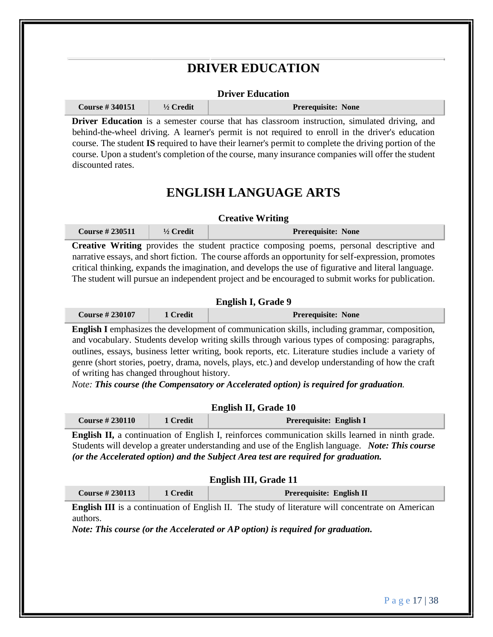# **DRIVER EDUCATION**

#### **Driver Education**

**Course # 340151 ½ Credit Prerequisite: None**

**Driver Education** is a semester course that has classroom instruction, simulated driving, and behind-the-wheel driving. A learner's permit is not required to enroll in the driver's education course. The student **IS** required to have their learner's permit to complete the driving portion of the course. Upon a student's completion of the course, many insurance companies will offer the student discounted rates.

# **ENGLISH LANGUAGE ARTS**

#### **Creative Writing**

| <b>Course #230511</b> | $\frac{1}{2}$ Credit | <b>Prerequisite: None</b> |
|-----------------------|----------------------|---------------------------|
|                       |                      |                           |

**Creative Writing** provides the student practice composing poems, personal descriptive and narrative essays, and short fiction. The course affords an opportunity for self-expression, promotes critical thinking, expands the imagination, and develops the use of figurative and literal language. The student will pursue an independent project and be encouraged to submit works for publication.

### **English I, Grade 9**

| <b>Course #230107</b> | 1 Credit | <b>Prerequisite: None</b> |
|-----------------------|----------|---------------------------|
|-----------------------|----------|---------------------------|

**English I** emphasizes the development of communication skills, including grammar, composition, and vocabulary. Students develop writing skills through various types of composing: paragraphs, outlines, essays, business letter writing, book reports, etc. Literature studies include a variety of genre (short stories, poetry, drama, novels, plays, etc.) and develop understanding of how the craft of writing has changed throughout history.

*Note: This course (the Compensatory or Accelerated option) is required for graduation.*

## **English II, Grade 10**

| Course $\# 230110$ | 1 Credit | Prerequisite: English I |
|--------------------|----------|-------------------------|
|--------------------|----------|-------------------------|

**English II,** a continuation of English I, reinforces communication skills learned in ninth grade. Students will develop a greater understanding and use of the English language. *Note: This course (or the Accelerated option) and the Subject Area test are required for graduation.* 

| English III, Grade 11 |
|-----------------------|
|-----------------------|

| 1 Credit | <b>Course #230113</b> |  | Prerequisite: English II |
|----------|-----------------------|--|--------------------------|
|----------|-----------------------|--|--------------------------|

**English III** is a continuation of English II. The study of literature will concentrate on American authors.

*Note: This course (or the Accelerated or AP option) is required for graduation.*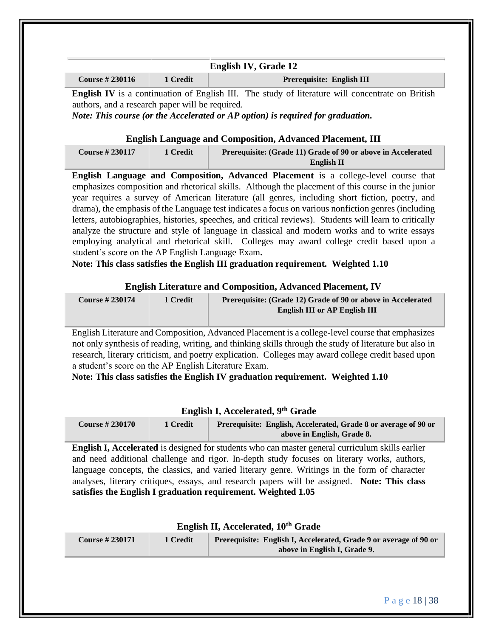|                    |          | <b>English IV, Grade 12</b>                                                                             |
|--------------------|----------|---------------------------------------------------------------------------------------------------------|
| Course $\# 230116$ | 1 Credit | Prerequisite: English III                                                                               |
|                    |          | <b>English IV</b> is a continuation of English III. The study of literature will concentrate on British |

authors, and a research paper will be required.

*Note: This course (or the Accelerated or AP option) is required for graduation.* 

## **English Language and Composition, Advanced Placement, III**

| <b>Course #230117</b> | 1 Credit | Prerequisite: (Grade 11) Grade of 90 or above in Accelerated |
|-----------------------|----------|--------------------------------------------------------------|
|                       |          | English II                                                   |

**English Language and Composition, Advanced Placement** is a college-level course that emphasizes composition and rhetorical skills. Although the placement of this course in the junior year requires a survey of American literature (all genres, including short fiction, poetry, and drama), the emphasis of the Language test indicates a focus on various nonfiction genres (including letters, autobiographies, histories, speeches, and critical reviews). Students will learn to critically analyze the structure and style of language in classical and modern works and to write essays employing analytical and rhetorical skill. Colleges may award college credit based upon a student's score on the AP English Language Exam**.** 

**Note: This class satisfies the English III graduation requirement. Weighted 1.10** 

## **English Literature and Composition, Advanced Placement, IV**

| <b>Course #230174</b> | 1 Credit | Prerequisite: (Grade 12) Grade of 90 or above in Accelerated |
|-----------------------|----------|--------------------------------------------------------------|
|                       |          | <b>English III or AP English III</b>                         |
|                       |          |                                                              |

English Literature and Composition, Advanced Placement is a college-level course that emphasizes not only synthesis of reading, writing, and thinking skills through the study of literature but also in research, literary criticism, and poetry explication. Colleges may award college credit based upon a student's score on the AP English Literature Exam.

**Note: This class satisfies the English IV graduation requirement. Weighted 1.10** 

## **English I, Accelerated, 9th Grade**

| <b>Course #230170</b> | 1 Credit | Prerequisite: English, Accelerated, Grade 8 or average of 90 or |
|-----------------------|----------|-----------------------------------------------------------------|
|                       |          | above in English, Grade 8.                                      |

**English I, Accelerated** is designed for students who can master general curriculum skills earlier and need additional challenge and rigor. In‐depth study focuses on literary works, authors, language concepts, the classics, and varied literary genre. Writings in the form of character analyses, literary critiques, essays, and research papers will be assigned. **Note: This class satisfies the English I graduation requirement. Weighted 1.05** 

## **English II, Accelerated, 10th Grade**

| <b>Course #230171</b> | 1 Credit | <b>Prerequisite: English I, Accelerated, Grade 9 or average of 90 or</b> |
|-----------------------|----------|--------------------------------------------------------------------------|
|                       |          | above in English I, Grade 9.                                             |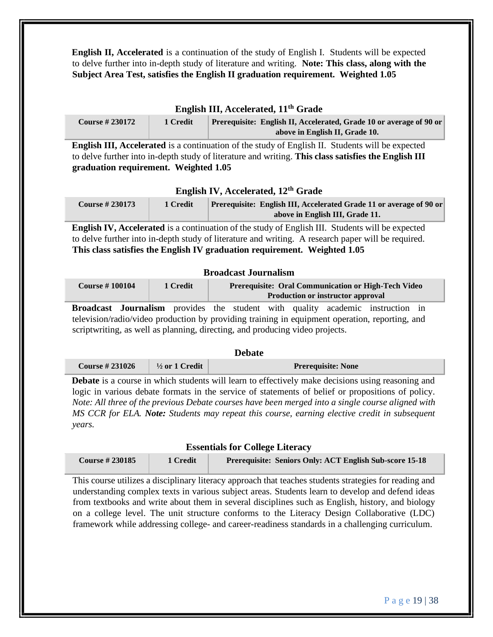**English II, Accelerated** is a continuation of the study of English I. Students will be expected to delve further into in-depth study of literature and writing. **Note: This class, along with the Subject Area Test, satisfies the English II graduation requirement. Weighted 1.05** 

#### **English III, Accelerated, 11th Grade**

| <b>Course # 230172</b> | 1 Credit | Prerequisite: English II, Accelerated, Grade 10 or average of 90 or |
|------------------------|----------|---------------------------------------------------------------------|
|                        |          | above in English II, Grade 10.                                      |

**English III, Accelerated** is a continuation of the study of English II. Students will be expected to delve further into in-depth study of literature and writing. **This class satisfies the English III graduation requirement. Weighted 1.05** 

#### **English IV, Accelerated, 12th Grade**

| <b>Course #230173</b> | 1 Credit | <b>Prerequisite: English III, Accelerated Grade 11 or average of 90 or</b> |
|-----------------------|----------|----------------------------------------------------------------------------|
|                       |          | above in English III, Grade 11.                                            |

**English IV, Accelerated** is a continuation of the study of English III. Students will be expected to delve further into in-depth study of literature and writing. A research paper will be required. **This class satisfies the English IV graduation requirement. Weighted 1.05** 

#### **Broadcast Journalism**

| <b>Course #100104</b> | 1 Credit | <b>Prerequisite: Oral Communication or High-Tech Video</b> |
|-----------------------|----------|------------------------------------------------------------|
|                       |          | <b>Production or instructor approval</b>                   |

**Broadcast Journalism** provides the student with quality academic instruction in television/radio/video production by providing training in equipment operation, reporting, and scriptwriting, as well as planning, directing, and producing video projects.

**Debate**

|                       |                           | vevale                    |
|-----------------------|---------------------------|---------------------------|
| <b>Course #231026</b> | $\frac{1}{2}$ or 1 Credit | <b>Prerequisite: None</b> |

**Debate** is a course in which students will learn to effectively make decisions using reasoning and logic in various debate formats in the service of statements of belief or propositions of policy. *Note: All three of the previous Debate courses have been merged into a single course aligned with MS CCR for ELA. Note: Students may repeat this course, earning elective credit in subsequent years.* 

#### **Essentials for College Literacy**

| <b>Course #230185</b> | 1 Credit | <b>Prerequisite: Seniors Only: ACT English Sub-score 15-18</b> |
|-----------------------|----------|----------------------------------------------------------------|
|-----------------------|----------|----------------------------------------------------------------|

This course utilizes a disciplinary literacy approach that teaches students strategies for reading and understanding complex texts in various subject areas. Students learn to develop and defend ideas from textbooks and write about them in several disciplines such as English, history, and biology on a college level. The unit structure conforms to the Literacy Design Collaborative (LDC) framework while addressing college- and career-readiness standards in a challenging curriculum.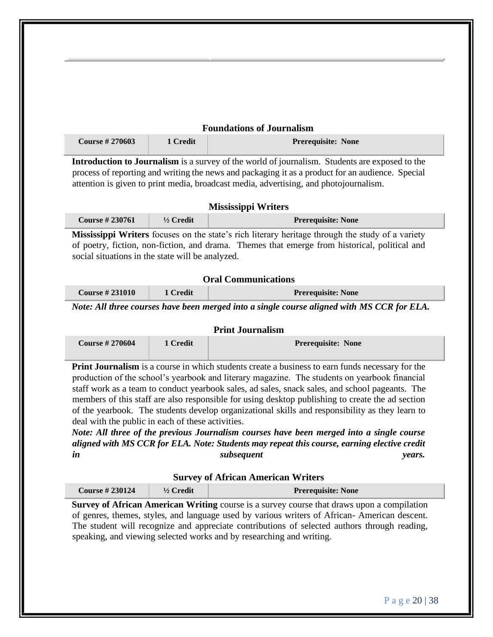|                                                   | 1 Credit   | <b>Foundations of Journalism</b>                                                                 |
|---------------------------------------------------|------------|--------------------------------------------------------------------------------------------------|
| <b>Course #270603</b>                             |            | Prerequisite: None                                                                               |
|                                                   |            | Introduction to Journalism is a survey of the world of journalism. Students are exposed to the   |
|                                                   |            | process of reporting and writing the news and packaging it as a product for an audience. Special |
|                                                   |            | attention is given to print media, broadcast media, advertising, and photojournalism.            |
|                                                   |            | <b>Mississippi Writers</b>                                                                       |
| <b>Course #230761</b>                             | 1/2 Credit | <b>Prerequisite: None</b>                                                                        |
|                                                   |            | Mississippi Writers focuses on the state's rich literary heritage through the study of a variety |
|                                                   |            | of poetry, fiction, non-fiction, and drama. Themes that emerge from historical, political and    |
| social situations in the state will be analyzed.  |            |                                                                                                  |
|                                                   |            |                                                                                                  |
|                                                   |            |                                                                                                  |
|                                                   |            | <b>Oral Communications</b>                                                                       |
| <b>Course #231010</b>                             | 1 Credit   | <b>Prerequisite: None</b>                                                                        |
|                                                   |            |                                                                                                  |
|                                                   |            | Note: All three courses have been merged into a single course aligned with MS CCR for ELA.       |
|                                                   |            | <b>Print Journalism</b>                                                                          |
| <b>Course #270604</b>                             | 1 Credit   | Prerequisite: None                                                                               |
|                                                   |            |                                                                                                  |
|                                                   |            | Print Journalism is a course in which students create a business to earn funds necessary for the |
|                                                   |            | production of the school's yearbook and literary magazine. The students on yearbook financial    |
|                                                   |            | staff work as a team to conduct yearbook sales, ad sales, snack sales, and school pageants. The  |
|                                                   |            | members of this staff are also responsible for using desktop publishing to create the ad section |
|                                                   |            | of the yearbook. The students develop organizational skills and responsibility as they learn to  |
|                                                   |            |                                                                                                  |
|                                                   |            |                                                                                                  |
| deal with the public in each of these activities. |            | Note: All three of the previous Journalism courses have been merged into a single course         |
|                                                   |            | aligned with MS CCR for ELA. Note: Students may repeat this course, earning elective credit      |
|                                                   |            | subsequent<br>years.                                                                             |
| in                                                |            | <b>Survey of African American Writers</b>                                                        |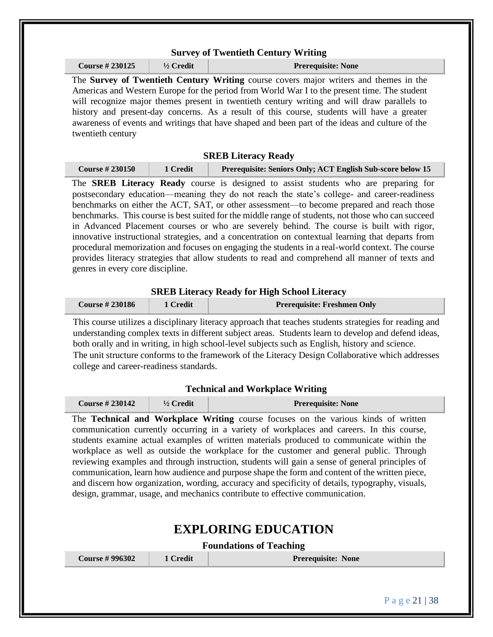|                                         |            | <b>Survey of Twentieth Century Writing</b>                                                                                                                                                                                                                                                                                                                                                                                                                                                                                                                                                                                                                                                                                                                      |
|-----------------------------------------|------------|-----------------------------------------------------------------------------------------------------------------------------------------------------------------------------------------------------------------------------------------------------------------------------------------------------------------------------------------------------------------------------------------------------------------------------------------------------------------------------------------------------------------------------------------------------------------------------------------------------------------------------------------------------------------------------------------------------------------------------------------------------------------|
| <b>Course #230125</b>                   | 1/2 Credit | <b>Prerequisite: None</b>                                                                                                                                                                                                                                                                                                                                                                                                                                                                                                                                                                                                                                                                                                                                       |
| twentieth century                       |            | The Survey of Twentieth Century Writing course covers major writers and themes in the<br>Americas and Western Europe for the period from World War I to the present time. The student<br>will recognize major themes present in twentieth century writing and will draw parallels to<br>history and present-day concerns. As a result of this course, students will have a greater<br>awareness of events and writings that have shaped and been part of the ideas and culture of the                                                                                                                                                                                                                                                                           |
|                                         |            | <b>SREB Literacy Ready</b>                                                                                                                                                                                                                                                                                                                                                                                                                                                                                                                                                                                                                                                                                                                                      |
| <b>Course #230150</b>                   | 1 Credit   | Prerequisite: Seniors Only; ACT English Sub-score below 15                                                                                                                                                                                                                                                                                                                                                                                                                                                                                                                                                                                                                                                                                                      |
| genres in every core discipline.        |            | postsecondary education—meaning they do not reach the state's college- and career-readiness<br>benchmarks on either the ACT, SAT, or other assessment-to become prepared and reach those<br>benchmarks. This course is best suited for the middle range of students, not those who can succeed<br>in Advanced Placement courses or who are severely behind. The course is built with rigor,<br>innovative instructional strategies, and a concentration on contextual learning that departs from<br>procedural memorization and focuses on engaging the students in a real-world context. The course<br>provides literacy strategies that allow students to read and comprehend all manner of texts and                                                         |
|                                         |            |                                                                                                                                                                                                                                                                                                                                                                                                                                                                                                                                                                                                                                                                                                                                                                 |
| <b>Course #230186</b>                   | 1 Credit   | <b>SREB Literacy Ready for High School Literacy</b><br><b>Prerequisite: Freshmen Only</b>                                                                                                                                                                                                                                                                                                                                                                                                                                                                                                                                                                                                                                                                       |
| college and career-readiness standards. |            | both orally and in writing, in high school-level subjects such as English, history and science.                                                                                                                                                                                                                                                                                                                                                                                                                                                                                                                                                                                                                                                                 |
|                                         |            | <b>Technical and Workplace Writing</b>                                                                                                                                                                                                                                                                                                                                                                                                                                                                                                                                                                                                                                                                                                                          |
| <b>Course #230142</b>                   | 1/2 Credit | <b>Prerequisite: None</b>                                                                                                                                                                                                                                                                                                                                                                                                                                                                                                                                                                                                                                                                                                                                       |
|                                         |            | The Technical and Workplace Writing course focuses on the various kinds of written<br>communication currently occurring in a variety of workplaces and careers. In this course,<br>students examine actual examples of written materials produced to communicate within the<br>workplace as well as outside the workplace for the customer and general public. Through<br>reviewing examples and through instruction, students will gain a sense of general principles of<br>communication, learn how audience and purpose shape the form and content of the written piece,<br>and discern how organization, wording, accuracy and specificity of details, typography, visuals,<br>design, grammar, usage, and mechanics contribute to effective communication. |
|                                         |            | <b>EXPLORING EDUCATION</b>                                                                                                                                                                                                                                                                                                                                                                                                                                                                                                                                                                                                                                                                                                                                      |
| <b>Course #996302</b>                   | 1 Credit   | This course utilizes a disciplinary literacy approach that teaches students strategies for reading and<br>understanding complex texts in different subject areas. Students learn to develop and defend ideas,<br>The unit structure conforms to the framework of the Literacy Design Collaborative which addresses<br><b>Foundations of Teaching</b><br>Prerequisite: None                                                                                                                                                                                                                                                                                                                                                                                      |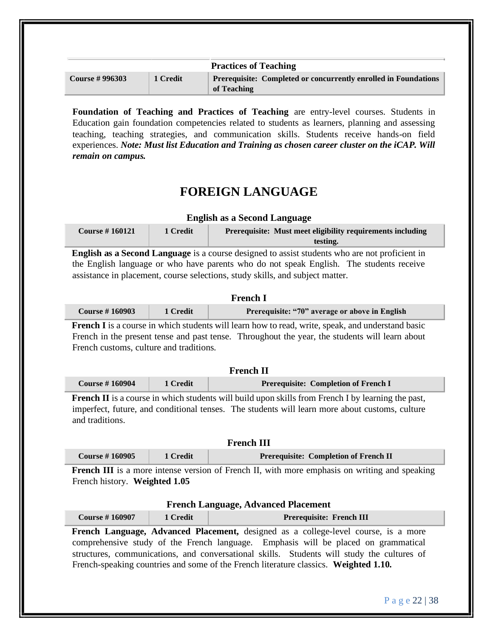|                       |          | <b>Practices of Teaching</b>                                                          |
|-----------------------|----------|---------------------------------------------------------------------------------------|
| <b>Course #996303</b> | 1 Credit | <b>Prerequisite: Completed or concurrently enrolled in Foundations</b><br>of Teaching |

**Foundation of Teaching and Practices of Teaching** are entry-level courses. Students in Education gain foundation competencies related to students as learners, planning and assessing teaching, teaching strategies, and communication skills. Students receive hands-on field experiences. *Note: Must list Education and Training as chosen career cluster on the iCAP. Will remain on campus.*

# **FOREIGN LANGUAGE**

| <b>English as a Second Language</b> |          |                                                            |
|-------------------------------------|----------|------------------------------------------------------------|
| Course $\#$ 160121                  | 1 Credit | Prerequisite: Must meet eligibility requirements including |
|                                     |          | testing.                                                   |

**English as a Second Language** is a course designed to assist students who are not proficient in the English language or who have parents who do not speak English. The students receive assistance in placement, course selections, study skills, and subject matter.

## **French I**

|  | <b>Course #160903</b> | 1 Credit | Prerequisite: "70" average or above in English |
|--|-----------------------|----------|------------------------------------------------|
|--|-----------------------|----------|------------------------------------------------|

**French I** is a course in which students will learn how to read, write, speak, and understand basic French in the present tense and past tense. Throughout the year, the students will learn about French customs, culture and traditions.

| <b>French II</b>      |          |                                             |  |
|-----------------------|----------|---------------------------------------------|--|
| <b>Course #160904</b> | 1 Credit | <b>Prerequisite: Completion of French I</b> |  |

**French II** is a course in which students will build upon skills from French I by learning the past, imperfect, future, and conditional tenses. The students will learn more about customs, culture and traditions.

| <b>French III</b>     |          |                                              |  |  |
|-----------------------|----------|----------------------------------------------|--|--|
| <b>Course #160905</b> | 1 Credit | <b>Prerequisite: Completion of French II</b> |  |  |
|                       |          |                                              |  |  |

**French III** is a more intense version of French II, with more emphasis on writing and speaking French history. **Weighted 1.05** 

## **French Language, Advanced Placement**

| <b>Course #160907</b>                                                                      | 1 Credit | <b>Prerequisite: French III</b>                                                           |  |  |
|--------------------------------------------------------------------------------------------|----------|-------------------------------------------------------------------------------------------|--|--|
|                                                                                            |          | <b>French Language, Advanced Placement,</b> designed as a college-level course, is a more |  |  |
| comprehensive study of the French language. Emphasis will be placed on grammatical         |          |                                                                                           |  |  |
| structures, communications, and conversational skills. Students will study the cultures of |          |                                                                                           |  |  |
|                                                                                            |          | French-speaking countries and some of the French literature classics. Weighted 1.10.      |  |  |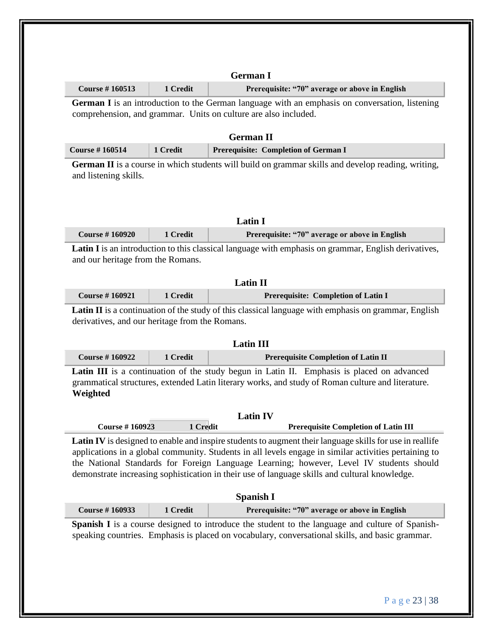| <b>Course #160513</b>                          | 1 Credit | Prerequisite: "70" average or above in English                                                                                                                                                                                                                                                                                                                                                                                                                                       |
|------------------------------------------------|----------|--------------------------------------------------------------------------------------------------------------------------------------------------------------------------------------------------------------------------------------------------------------------------------------------------------------------------------------------------------------------------------------------------------------------------------------------------------------------------------------|
|                                                |          | German I is an introduction to the German language with an emphasis on conversation, listening<br>comprehension, and grammar. Units on culture are also included.                                                                                                                                                                                                                                                                                                                    |
|                                                |          | <b>German II</b>                                                                                                                                                                                                                                                                                                                                                                                                                                                                     |
| <b>Course #160514</b>                          | 1 Credit | Prerequisite: Completion of German I                                                                                                                                                                                                                                                                                                                                                                                                                                                 |
| and listening skills.                          |          | <b>German II</b> is a course in which students will build on grammar skills and develop reading, writing,                                                                                                                                                                                                                                                                                                                                                                            |
|                                                |          | <b>Latin I</b>                                                                                                                                                                                                                                                                                                                                                                                                                                                                       |
| <b>Course #160920</b>                          | 1 Credit | Prerequisite: "70" average or above in English                                                                                                                                                                                                                                                                                                                                                                                                                                       |
|                                                |          | <b>Latin II</b>                                                                                                                                                                                                                                                                                                                                                                                                                                                                      |
|                                                |          |                                                                                                                                                                                                                                                                                                                                                                                                                                                                                      |
| <b>Course #160921</b>                          | 1 Credit | Prerequisite: Completion of Latin I                                                                                                                                                                                                                                                                                                                                                                                                                                                  |
|                                                |          |                                                                                                                                                                                                                                                                                                                                                                                                                                                                                      |
| derivatives, and our heritage from the Romans. |          |                                                                                                                                                                                                                                                                                                                                                                                                                                                                                      |
| <b>Course #160922</b>                          | 1 Credit | <b>Latin III</b><br><b>Prerequisite Completion of Latin II</b>                                                                                                                                                                                                                                                                                                                                                                                                                       |
| Weighted                                       |          | Latin III is a continuation of the study begun in Latin II. Emphasis is placed on advanced<br>grammatical structures, extended Latin literary works, and study of Roman culture and literature.                                                                                                                                                                                                                                                                                      |
| <b>Course #160923</b>                          | 1 Credit | <b>Latin IV</b><br><b>Prerequisite Completion of Latin III</b>                                                                                                                                                                                                                                                                                                                                                                                                                       |
|                                                |          | demonstrate increasing sophistication in their use of language skills and cultural knowledge.<br><b>Spanish I</b>                                                                                                                                                                                                                                                                                                                                                                    |
| <b>Course #160933</b>                          | 1 Credit | <b>Latin II</b> is a continuation of the study of this classical language with emphasis on grammar, English<br><b>Latin IV</b> is designed to enable and inspire students to augment their language skills for use in reallife<br>applications in a global community. Students in all levels engage in similar activities pertaining to<br>the National Standards for Foreign Language Learning; however, Level IV students should<br>Prerequisite: "70" average or above in English |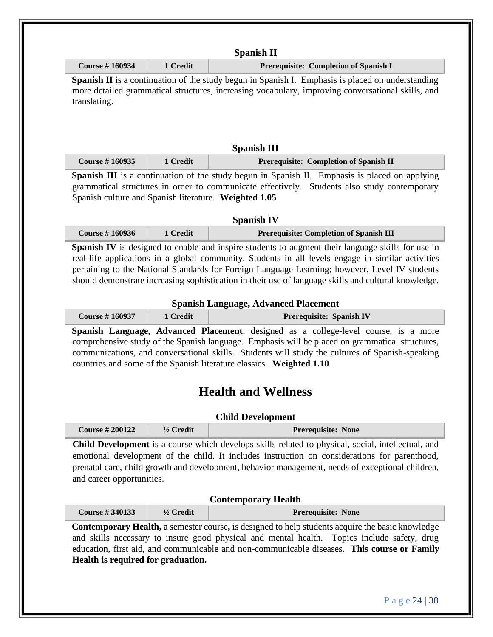| <b>Course #160934</b>                                 | 1 Credit   | Prerequisite: Completion of Spanish I                                                                                                                                                                                                                                                                                                                                                                                                                                                                                                                                                                                                                    |
|-------------------------------------------------------|------------|----------------------------------------------------------------------------------------------------------------------------------------------------------------------------------------------------------------------------------------------------------------------------------------------------------------------------------------------------------------------------------------------------------------------------------------------------------------------------------------------------------------------------------------------------------------------------------------------------------------------------------------------------------|
| translating.                                          |            | Spanish II is a continuation of the study begun in Spanish I. Emphasis is placed on understanding<br>more detailed grammatical structures, increasing vocabulary, improving conversational skills, and                                                                                                                                                                                                                                                                                                                                                                                                                                                   |
|                                                       |            | <b>Spanish III</b>                                                                                                                                                                                                                                                                                                                                                                                                                                                                                                                                                                                                                                       |
| <b>Course #160935</b>                                 | 1 Credit   | Prerequisite: Completion of Spanish II                                                                                                                                                                                                                                                                                                                                                                                                                                                                                                                                                                                                                   |
| Spanish culture and Spanish literature. Weighted 1.05 |            | Spanish III is a continuation of the study begun in Spanish II. Emphasis is placed on applying<br>grammatical structures in order to communicate effectively. Students also study contemporary                                                                                                                                                                                                                                                                                                                                                                                                                                                           |
|                                                       |            | <b>Spanish IV</b>                                                                                                                                                                                                                                                                                                                                                                                                                                                                                                                                                                                                                                        |
| <b>Course #160936</b>                                 | 1 Credit   | <b>Prerequisite: Completion of Spanish III</b>                                                                                                                                                                                                                                                                                                                                                                                                                                                                                                                                                                                                           |
|                                                       |            |                                                                                                                                                                                                                                                                                                                                                                                                                                                                                                                                                                                                                                                          |
|                                                       |            | <b>Spanish Language, Advanced Placement</b>                                                                                                                                                                                                                                                                                                                                                                                                                                                                                                                                                                                                              |
| <b>Course #160937</b>                                 | 1 Credit   | Prerequisite: Spanish IV                                                                                                                                                                                                                                                                                                                                                                                                                                                                                                                                                                                                                                 |
|                                                       |            | countries and some of the Spanish literature classics. Weighted 1.10<br><b>Health and Wellness</b>                                                                                                                                                                                                                                                                                                                                                                                                                                                                                                                                                       |
| <b>Course #200122</b>                                 | 1/2 Credit | <b>Child Development</b><br>Prerequisite: None                                                                                                                                                                                                                                                                                                                                                                                                                                                                                                                                                                                                           |
| and career opportunities.                             |            |                                                                                                                                                                                                                                                                                                                                                                                                                                                                                                                                                                                                                                                          |
| <b>Course #340133</b>                                 | 1/2 Credit | Spanish Language, Advanced Placement, designed as a college-level course, is a more<br>comprehensive study of the Spanish language. Emphasis will be placed on grammatical structures,<br>communications, and conversational skills. Students will study the cultures of Spanish-speaking<br>Child Development is a course which develops skills related to physical, social, intellectual, and<br>emotional development of the child. It includes instruction on considerations for parenthood,<br>prenatal care, child growth and development, behavior management, needs of exceptional children,<br><b>Contemporary Health</b><br>Prerequisite: None |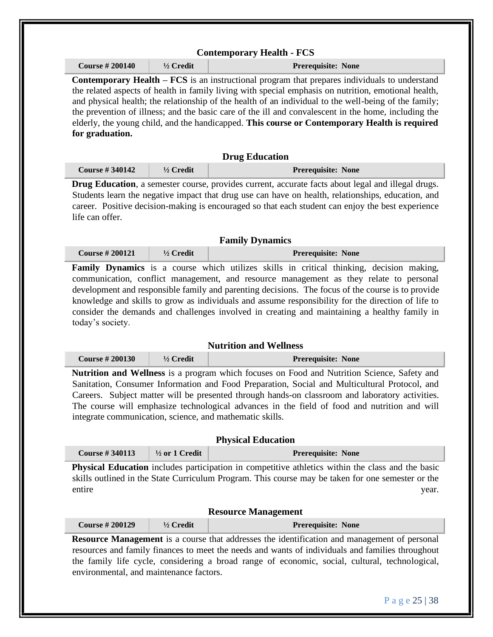|                       |                           | Prerequisite: None<br><b>Contemporary Health – <math>FCS</math></b> is an instructional program that prepares individuals to understand<br>the related aspects of health in family living with special emphasis on nutrition, emotional health,<br>and physical health; the relationship of the health of an individual to the well-being of the family;<br>the prevention of illness; and the basic care of the ill and convalescent in the home, including the                                                                                                                  |
|-----------------------|---------------------------|-----------------------------------------------------------------------------------------------------------------------------------------------------------------------------------------------------------------------------------------------------------------------------------------------------------------------------------------------------------------------------------------------------------------------------------------------------------------------------------------------------------------------------------------------------------------------------------|
| for graduation.       |                           | elderly, the young child, and the handicapped. This course or Contemporary Health is required                                                                                                                                                                                                                                                                                                                                                                                                                                                                                     |
|                       |                           | <b>Drug Education</b>                                                                                                                                                                                                                                                                                                                                                                                                                                                                                                                                                             |
| <b>Course #340142</b> | 1/2 Credit                | <b>Prerequisite: None</b>                                                                                                                                                                                                                                                                                                                                                                                                                                                                                                                                                         |
| life can offer.       |                           | Drug Education, a semester course, provides current, accurate facts about legal and illegal drugs.<br>Students learn the negative impact that drug use can have on health, relationships, education, and<br>career. Positive decision-making is encouraged so that each student can enjoy the best experience                                                                                                                                                                                                                                                                     |
|                       |                           | <b>Family Dynamics</b>                                                                                                                                                                                                                                                                                                                                                                                                                                                                                                                                                            |
| <b>Course #200121</b> | 1/2 Credit                | Prerequisite: None                                                                                                                                                                                                                                                                                                                                                                                                                                                                                                                                                                |
|                       |                           |                                                                                                                                                                                                                                                                                                                                                                                                                                                                                                                                                                                   |
| today's society.      | 1/2 Credit                | <b>Nutrition and Wellness</b>                                                                                                                                                                                                                                                                                                                                                                                                                                                                                                                                                     |
| <b>Course #200130</b> |                           | consider the demands and challenges involved in creating and maintaining a healthy family in<br>Prerequisite: None<br>Nutrition and Wellness is a program which focuses on Food and Nutrition Science, Safety and<br>Sanitation, Consumer Information and Food Preparation, Social and Multicultural Protocol, and<br>Careers. Subject matter will be presented through hands-on classroom and laboratory activities.<br>The course will emphasize technological advances in the field of food and nutrition and will<br>integrate communication, science, and mathematic skills. |
| <b>Course #340113</b> | $\frac{1}{2}$ or 1 Credit | <b>Physical Education</b><br>Prerequisite: None                                                                                                                                                                                                                                                                                                                                                                                                                                                                                                                                   |
| entire                |                           | Physical Education includes participation in competitive athletics within the class and the basic<br>skills outlined in the State Curriculum Program. This course may be taken for one semester or the<br>year.                                                                                                                                                                                                                                                                                                                                                                   |
|                       |                           | <b>Resource Management</b>                                                                                                                                                                                                                                                                                                                                                                                                                                                                                                                                                        |
| <b>Course #200129</b> | $1/2$ Credit              | Prerequisite: None<br><b>Resource Management</b> is a course that addresses the identification and management of personal                                                                                                                                                                                                                                                                                                                                                                                                                                                         |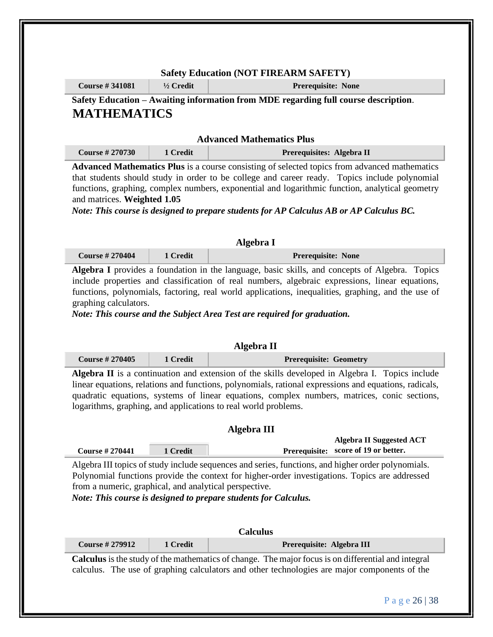## **Safety Education (NOT FIREARM SAFETY) Course # 341081 ½ Credit Prerequisite: None**

## **Safety Education – Awaiting information from MDE regarding full course description**. **MATHEMATICS**

## **Advanced Mathematics Plus**

| <b>Course # 270730</b> | 1 Credit | Prerequisites: Algebra II |
|------------------------|----------|---------------------------|
|                        |          |                           |

**Advanced Mathematics Plus** is a course consisting of selected topics from advanced mathematics that students should study in order to be college and career ready. Topics include polynomial functions, graphing, complex numbers, exponential and logarithmic function, analytical geometry and matrices. **Weighted 1.05** 

*Note: This course is designed to prepare students for AP Calculus AB or AP Calculus BC.* 

| Algebra I             |          |                           |  |
|-----------------------|----------|---------------------------|--|
| <b>Course #270404</b> | 1 Credit | <b>Prerequisite: None</b> |  |

**Algebra I** provides a foundation in the language, basic skills, and concepts of Algebra. Topics include properties and classification of real numbers, algebraic expressions, linear equations, functions, polynomials, factoring, real world applications, inequalities, graphing, and the use of graphing calculators.

*Note: This course and the Subject Area Test are required for graduation.* 

| Algebra II                                                                                                                                                                                                                                                                                                                                                                        |          |                                                                                   |  |
|-----------------------------------------------------------------------------------------------------------------------------------------------------------------------------------------------------------------------------------------------------------------------------------------------------------------------------------------------------------------------------------|----------|-----------------------------------------------------------------------------------|--|
| <b>Course #270405</b>                                                                                                                                                                                                                                                                                                                                                             | 1 Credit | <b>Prerequisite: Geometry</b>                                                     |  |
| <b>Algebra II</b> is a continuation and extension of the skills developed in Algebra I. Topics include<br>linear equations, relations and functions, polynomials, rational expressions and equations, radicals,<br>quadratic equations, systems of linear equations, complex numbers, matrices, conic sections,<br>logarithms, graphing, and applications to real world problems. |          |                                                                                   |  |
|                                                                                                                                                                                                                                                                                                                                                                                   |          | Algebra III                                                                       |  |
| <b>Course #270441</b>                                                                                                                                                                                                                                                                                                                                                             | 1 Credit | <b>Algebra II Suggested ACT</b><br>score of 19 or better.<br><b>Prerequisite:</b> |  |
| Algebra III topics of study include sequences and series, functions, and higher order polynomials.<br>Polynomial functions provide the context for higher-order investigations. Topics are addressed<br>from a numeric, graphical, and analytical perspective.<br>Note: This course is designed to prepare students for Calculus.                                                 |          |                                                                                   |  |
| <b>Calculus</b>                                                                                                                                                                                                                                                                                                                                                                   |          |                                                                                   |  |
| <b>Course #279912</b>                                                                                                                                                                                                                                                                                                                                                             | 1 Credit | Prerequisite: Algebra III                                                         |  |
| Calculus is the study of the mathematics of change. The major focus is on differential and integral<br>calculus. The use of graphing calculators and other technologies are major components of the                                                                                                                                                                               |          |                                                                                   |  |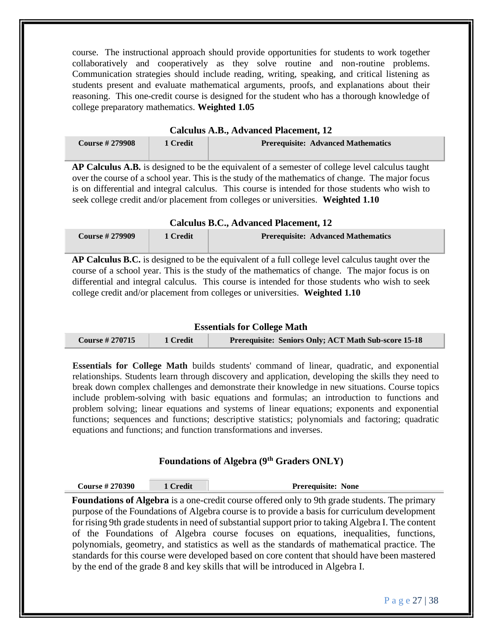course. The instructional approach should provide opportunities for students to work together collaboratively and cooperatively as they solve routine and non-routine problems. Communication strategies should include reading, writing, speaking, and critical listening as students present and evaluate mathematical arguments, proofs, and explanations about their reasoning. This one-credit course is designed for the student who has a thorough knowledge of college preparatory mathematics. **Weighted 1.05** 

| Calculus A.B., Advanced Placement, 12 |          |                                           |
|---------------------------------------|----------|-------------------------------------------|
| <b>Course #279908</b>                 | 1 Credit | <b>Prerequisite: Advanced Mathematics</b> |

**AP Calculus A.B.** is designed to be the equivalent of a semester of college level calculus taught over the course of a school year. This is the study of the mathematics of change. The major focus is on differential and integral calculus. This course is intended for those students who wish to seek college credit and/or placement from colleges or universities. **Weighted 1.10** 

## **Calculus B.C., Advanced Placement, 12**

| <b>Course #279909</b> | 1 Credit | <b>Prerequisite: Advanced Mathematics</b> |
|-----------------------|----------|-------------------------------------------|
|                       |          |                                           |

**AP Calculus B.C.** is designed to be the equivalent of a full college level calculus taught over the course of a school year. This is the study of the mathematics of change. The major focus is on differential and integral calculus. This course is intended for those students who wish to seek college credit and/or placement from colleges or universities. **Weighted 1.10** 

### **Essentials for College Math**

| Course $\#$ 270715 | 1 Credit | <b>Prerequisite: Seniors Only; ACT Math Sub-score 15-18</b> |
|--------------------|----------|-------------------------------------------------------------|
|--------------------|----------|-------------------------------------------------------------|

**Essentials for College Math** builds students' command of linear, quadratic, and exponential relationships. Students learn through discovery and application, developing the skills they need to break down complex challenges and demonstrate their knowledge in new situations. Course topics include problem-solving with basic equations and formulas; an introduction to functions and problem solving; linear equations and systems of linear equations; exponents and exponential functions; sequences and functions; descriptive statistics; polynomials and factoring; quadratic equations and functions; and function transformations and inverses.

## **Foundations of Algebra (9th Graders ONLY)**

| <b>Course #270390</b> | Credit | <b>Prerequisite: None</b> |
|-----------------------|--------|---------------------------|
|-----------------------|--------|---------------------------|

**Foundations of Algebra** is a one-credit course offered only to 9th grade students. The primary purpose of the Foundations of Algebra course is to provide a basis for curriculum development for rising 9th grade students in need of substantial support prior to taking Algebra I. The content of the Foundations of Algebra course focuses on equations, inequalities, functions, polynomials, geometry, and statistics as well as the standards of mathematical practice. The standards for this course were developed based on core content that should have been mastered by the end of the grade 8 and key skills that will be introduced in Algebra I.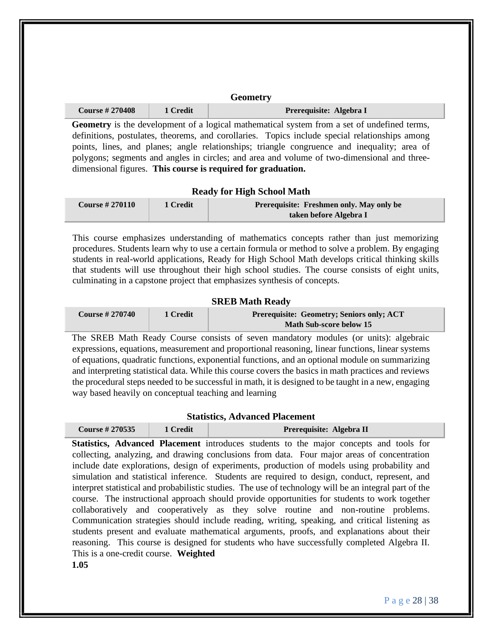| <b>Geometry</b>       |          |                         |
|-----------------------|----------|-------------------------|
| <b>Course #270408</b> | 1 Credit | Prerequisite: Algebra I |

**Geometry** is the development of a logical mathematical system from a set of undefined terms, definitions, postulates, theorems, and corollaries. Topics include special relationships among points, lines, and planes; angle relationships; triangle congruence and inequality; area of polygons; segments and angles in circles; and area and volume of two-dimensional and threedimensional figures. **This course is required for graduation.** 

#### **Ready for High School Math**

| <b>Course #270110</b> | 1 Credit | Prerequisite: Freshmen only. May only be |  |
|-----------------------|----------|------------------------------------------|--|
|                       |          | taken before Algebra I                   |  |

This course emphasizes understanding of mathematics concepts rather than just memorizing procedures. Students learn why to use a certain formula or method to solve a problem. By engaging students in real-world applications, Ready for High School Math develops critical thinking skills that students will use throughout their high school studies. The course consists of eight units, culminating in a capstone project that emphasizes synthesis of concepts.

#### **SREB Math Ready**

| <b>Course #270740</b> | 1 Credit | Prerequisite: Geometry; Seniors only; ACT |  |
|-----------------------|----------|-------------------------------------------|--|
|                       |          | <b>Math Sub-score below 15</b>            |  |

The SREB Math Ready Course consists of seven mandatory modules (or units): algebraic expressions, equations, measurement and proportional reasoning, linear functions, linear systems of equations, quadratic functions, exponential functions, and an optional module on summarizing and interpreting statistical data. While this course covers the basics in math practices and reviews the procedural steps needed to be successful in math, it is designed to be taught in a new, engaging way based heavily on conceptual teaching and learning

#### **Statistics, Advanced Placement**

| Course $\#$ 270535 | 1 Credit | Prerequisite: Algebra II |
|--------------------|----------|--------------------------|
|--------------------|----------|--------------------------|

**Statistics, Advanced Placement** introduces students to the major concepts and tools for collecting, analyzing, and drawing conclusions from data. Four major areas of concentration include date explorations, design of experiments, production of models using probability and simulation and statistical inference. Students are required to design, conduct, represent, and interpret statistical and probabilistic studies. The use of technology will be an integral part of the course. The instructional approach should provide opportunities for students to work together collaboratively and cooperatively as they solve routine and non-routine problems. Communication strategies should include reading, writing, speaking, and critical listening as students present and evaluate mathematical arguments, proofs, and explanations about their reasoning. This course is designed for students who have successfully completed Algebra II. This is a one-credit course. **Weighted** 

**1.05**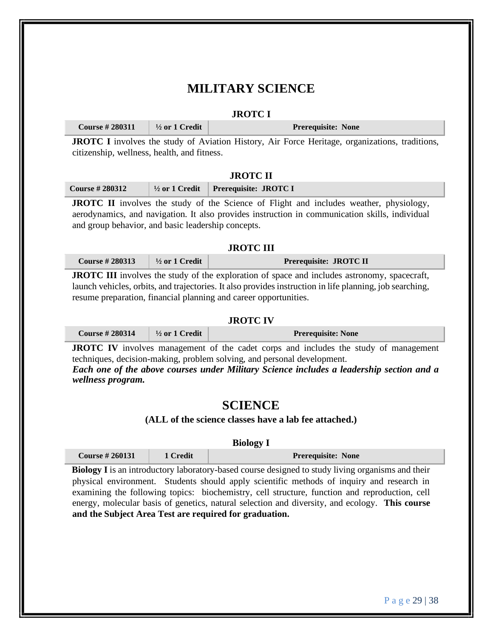# **MILITARY SCIENCE**

#### **JROTC I**

| <b>Course # 280311</b> $\frac{1}{2}$ or 1 Credit |  | <b>Prerequisite: None</b> |
|--------------------------------------------------|--|---------------------------|
|--------------------------------------------------|--|---------------------------|

**JROTC I** involves the study of Aviation History, Air Force Heritage, organizations, traditions, citizenship, wellness, health, and fitness.

### **JROTC II**

**JROTC II** involves the study of the Science of Flight and includes weather, physiology, aerodynamics, and navigation. It also provides instruction in communication skills, individual and group behavior, and basic leadership concepts.

#### **JROTC III**

| <b>Course #280313</b> | $\frac{1}{2}$ or 1 Credit | Prerequisite: JROTC II |
|-----------------------|---------------------------|------------------------|
|-----------------------|---------------------------|------------------------|

**JROTC III** involves the study of the exploration of space and includes astronomy, spacecraft, launch vehicles, orbits, and trajectories. It also provides instruction in life planning, job searching, resume preparation, financial planning and career opportunities.

## **JROTC IV**

| <b>Course #280314</b><br>$\frac{1}{2}$ or 1 Credit<br><b>Prerequisite: None</b> |  |  |  |
|---------------------------------------------------------------------------------|--|--|--|
|---------------------------------------------------------------------------------|--|--|--|

**JROTC IV** involves management of the cadet corps and includes the study of management techniques, decision-making, problem solving, and personal development.

*Each one of the above courses under Military Science includes a leadership section and a wellness program.*

## **SCIENCE**

#### **(ALL of the science classes have a lab fee attached.)**

| <b>Course #260131</b><br>1 Credit<br><b>Prerequisite: None</b> |
|----------------------------------------------------------------|
|----------------------------------------------------------------|

**Biology I** is an introductory laboratory-based course designed to study living organisms and their physical environment. Students should apply scientific methods of inquiry and research in examining the following topics: biochemistry, cell structure, function and reproduction, cell energy, molecular basis of genetics, natural selection and diversity, and ecology. **This course and the Subject Area Test are required for graduation.**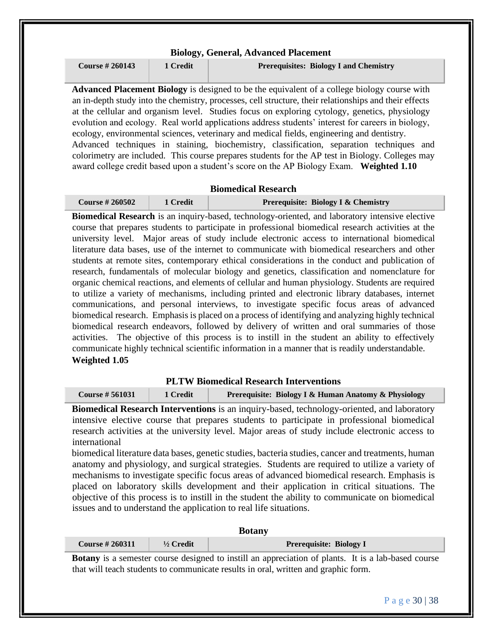|                       |          | <b>Biology, General, Advanced Placement</b>                                                                                                                                                                                                                                                                                                                                                                                                                                                                                                                                                                                                                                                                                                                                                                  |
|-----------------------|----------|--------------------------------------------------------------------------------------------------------------------------------------------------------------------------------------------------------------------------------------------------------------------------------------------------------------------------------------------------------------------------------------------------------------------------------------------------------------------------------------------------------------------------------------------------------------------------------------------------------------------------------------------------------------------------------------------------------------------------------------------------------------------------------------------------------------|
| <b>Course #260143</b> | 1 Credit | <b>Prerequisites: Biology I and Chemistry</b>                                                                                                                                                                                                                                                                                                                                                                                                                                                                                                                                                                                                                                                                                                                                                                |
|                       |          | <b>Advanced Placement Biology</b> is designed to be the equivalent of a college biology course with<br>an in-depth study into the chemistry, processes, cell structure, their relationships and their effects<br>at the cellular and organism level. Studies focus on exploring cytology, genetics, physiology<br>evolution and ecology. Real world applications address students' interest for careers in biology,<br>ecology, environmental sciences, veterinary and medical fields, engineering and dentistry.<br>Advanced techniques in staining, biochemistry, classification, separation techniques and<br>colorimetry are included. This course prepares students for the AP test in Biology. Colleges may<br>award college credit based upon a student's score on the AP Biology Exam. Weighted 1.10 |

#### **Biomedical Research**

| Course $\#260502$ | 1 Credit | <b>Prerequisite: Biology I &amp; Chemistry</b> |
|-------------------|----------|------------------------------------------------|
|-------------------|----------|------------------------------------------------|

**Biomedical Research** is an inquiry-based, technology-oriented, and laboratory intensive elective course that prepares students to participate in professional biomedical research activities at the university level. Major areas of study include electronic access to international biomedical literature data bases, use of the internet to communicate with biomedical researchers and other students at remote sites, contemporary ethical considerations in the conduct and publication of research, fundamentals of molecular biology and genetics, classification and nomenclature for organic chemical reactions, and elements of cellular and human physiology. Students are required to utilize a variety of mechanisms, including printed and electronic library databases, internet communications, and personal interviews, to investigate specific focus areas of advanced biomedical research. Emphasis is placed on a process of identifying and analyzing highly technical biomedical research endeavors, followed by delivery of written and oral summaries of those activities. The objective of this process is to instill in the student an ability to effectively communicate highly technical scientific information in a manner that is readily understandable. **Weighted 1.05**

## **PLTW Biomedical Research Interventions**

| <b>Course # 561031</b> | 1 Credit | Prerequisite: Biology I & Human Anatomy & Physiology |
|------------------------|----------|------------------------------------------------------|
|                        |          |                                                      |

**Biomedical Research Interventions** is an inquiry-based, technology-oriented, and laboratory intensive elective course that prepares students to participate in professional biomedical research activities at the university level. Major areas of study include electronic access to international

biomedical literature data bases, genetic studies, bacteria studies, cancer and treatments, human anatomy and physiology, and surgical strategies. Students are required to utilize a variety of mechanisms to investigate specific focus areas of advanced biomedical research. Emphasis is placed on laboratory skills development and their application in critical situations. The objective of this process is to instill in the student the ability to communicate on biomedical issues and to understand the application to real life situations.

|                       |                      | <b>Botany</b>                                                                                              |
|-----------------------|----------------------|------------------------------------------------------------------------------------------------------------|
| <b>Course #260311</b> | $\frac{1}{2}$ Credit | <b>Prerequisite: Biology I</b>                                                                             |
|                       |                      | <b>Botany</b> is a semester course designed to instill an appreciation of plants. It is a lab-based course |
|                       |                      | that will teach students to communicate results in oral, written and graphic form.                         |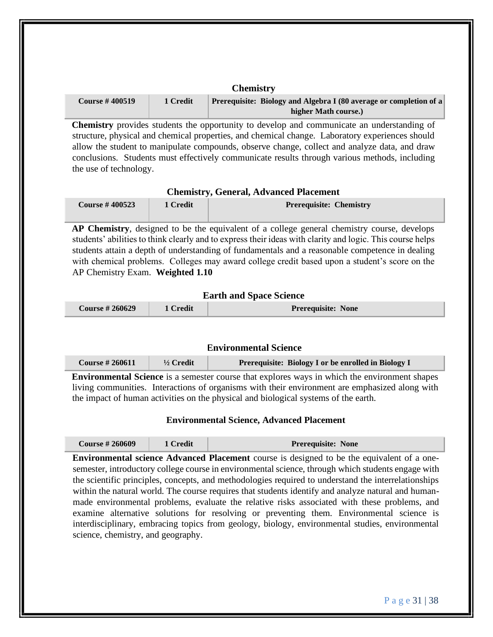|                       |          | <b>CHEHIISU</b> Y                                                                                 |
|-----------------------|----------|---------------------------------------------------------------------------------------------------|
| <b>Course #400519</b> | 1 Credit | <b>Prerequisite: Biology and Algebra I (80 average or completion of a</b><br>higher Math course.) |

**Chemistry**

**Chemistry** provides students the opportunity to develop and communicate an understanding of structure, physical and chemical properties, and chemical change. Laboratory experiences should allow the student to manipulate compounds, observe change, collect and analyze data, and draw conclusions. Students must effectively communicate results through various methods, including the use of technology.

#### **Chemistry, General, Advanced Placement**

| <b>Course #400523</b> | 1 Credit | <b>Prerequisite: Chemistry</b> |
|-----------------------|----------|--------------------------------|
|                       |          |                                |

**AP Chemistry**, designed to be the equivalent of a college general chemistry course, develops students' abilities to think clearly and to express their ideas with clarity and logic. This course helps students attain a depth of understanding of fundamentals and a reasonable competence in dealing with chemical problems. Colleges may award college credit based upon a student's score on the AP Chemistry Exam. **Weighted 1.10** 

#### **Earth and Space Science**

| <b>Course #260629</b><br>1 Credit | <b>Prerequisite: None</b> |
|-----------------------------------|---------------------------|
|-----------------------------------|---------------------------|

#### **Environmental Science**

| <b>Course #260611</b> | $\frac{1}{2}$ Credit | Prerequisite: Biology I or be enrolled in Biology I |
|-----------------------|----------------------|-----------------------------------------------------|
|                       |                      |                                                     |

**Environmental Science** is a semester course that explores ways in which the environment shapes living communities. Interactions of organisms with their environment are emphasized along with the impact of human activities on the physical and biological systems of the earth.

#### **Environmental Science, Advanced Placement**

| <b>Course # 260609</b> | 1 Credit | <b>Prerequisite: None</b> |
|------------------------|----------|---------------------------|
|------------------------|----------|---------------------------|

**Environmental science Advanced Placement** course is designed to be the equivalent of a onesemester, introductory college course in environmental science, through which students engage with the scientific principles, concepts, and methodologies required to understand the interrelationships within the natural world. The course requires that students identify and analyze natural and humanmade environmental problems, evaluate the relative risks associated with these problems, and examine alternative solutions for resolving or preventing them. Environmental science is interdisciplinary, embracing topics from geology, biology, environmental studies, environmental science, chemistry, and geography.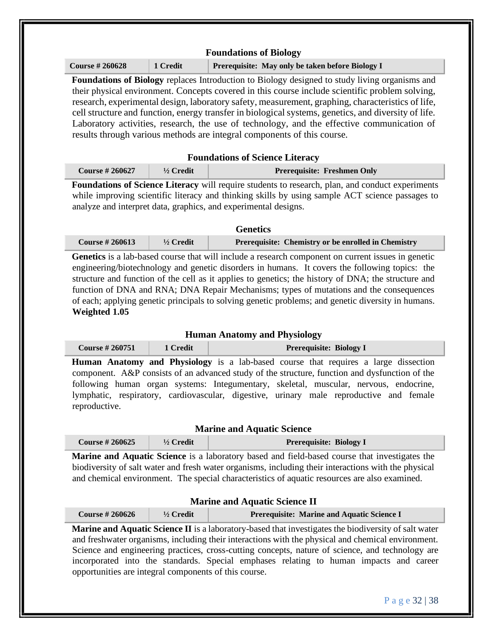| <b>Course #260628</b>                                 | 1 Credit   | Prerequisite: May only be taken before Biology I                                                                                                                                                                                                                                                                                                                                                                                                                                                                                                                                                                                                                         |
|-------------------------------------------------------|------------|--------------------------------------------------------------------------------------------------------------------------------------------------------------------------------------------------------------------------------------------------------------------------------------------------------------------------------------------------------------------------------------------------------------------------------------------------------------------------------------------------------------------------------------------------------------------------------------------------------------------------------------------------------------------------|
|                                                       |            | Foundations of Biology replaces Introduction to Biology designed to study living organisms and<br>their physical environment. Concepts covered in this course include scientific problem solving,<br>research, experimental design, laboratory safety, measurement, graphing, characteristics of life,<br>cell structure and function, energy transfer in biological systems, genetics, and diversity of life.<br>Laboratory activities, research, the use of technology, and the effective communication of<br>results through various methods are integral components of this course.                                                                                  |
|                                                       |            | <b>Foundations of Science Literacy</b>                                                                                                                                                                                                                                                                                                                                                                                                                                                                                                                                                                                                                                   |
| <b>Course #260627</b>                                 | 1/2 Credit | <b>Prerequisite: Freshmen Only</b>                                                                                                                                                                                                                                                                                                                                                                                                                                                                                                                                                                                                                                       |
|                                                       |            | Foundations of Science Literacy will require students to research, plan, and conduct experiments<br>while improving scientific literacy and thinking skills by using sample ACT science passages to<br>analyze and interpret data, graphics, and experimental designs.                                                                                                                                                                                                                                                                                                                                                                                                   |
|                                                       |            | <b>Genetics</b>                                                                                                                                                                                                                                                                                                                                                                                                                                                                                                                                                                                                                                                          |
| <b>Course #260613</b>                                 | 1/2 Credit | Prerequisite: Chemistry or be enrolled in Chemistry                                                                                                                                                                                                                                                                                                                                                                                                                                                                                                                                                                                                                      |
|                                                       |            |                                                                                                                                                                                                                                                                                                                                                                                                                                                                                                                                                                                                                                                                          |
| <b>Course #260751</b>                                 | 1 Credit   | <b>Human Anatomy and Physiology</b><br><b>Prerequisite: Biology I</b>                                                                                                                                                                                                                                                                                                                                                                                                                                                                                                                                                                                                    |
| reproductive.                                         |            |                                                                                                                                                                                                                                                                                                                                                                                                                                                                                                                                                                                                                                                                          |
| <b>Course #260625</b>                                 | 1/2 Credit | <b>Marine and Aquatic Science</b><br><b>Prerequisite: Biology I</b>                                                                                                                                                                                                                                                                                                                                                                                                                                                                                                                                                                                                      |
|                                                       |            | and chemical environment. The special characteristics of aquatic resources are also examined.                                                                                                                                                                                                                                                                                                                                                                                                                                                                                                                                                                            |
| <b>Course #260626</b>                                 | 1/2 Credit | Human Anatomy and Physiology is a lab-based course that requires a large dissection<br>component. A&P consists of an advanced study of the structure, function and dysfunction of the<br>following human organ systems: Integumentary, skeletal, muscular, nervous, endocrine,<br>lymphatic, respiratory, cardiovascular, digestive, urinary male reproductive and female<br>Marine and Aquatic Science is a laboratory based and field-based course that investigates the<br>biodiversity of salt water and fresh water organisms, including their interactions with the physical<br><b>Marine and Aquatic Science II</b><br>Prerequisite: Marine and Aquatic Science I |
| opportunities are integral components of this course. |            | Marine and Aquatic Science II is a laboratory-based that investigates the biodiversity of salt water<br>and freshwater organisms, including their interactions with the physical and chemical environment.<br>Science and engineering practices, cross-cutting concepts, nature of science, and technology are<br>incorporated into the standards. Special emphases relating to human impacts and career                                                                                                                                                                                                                                                                 |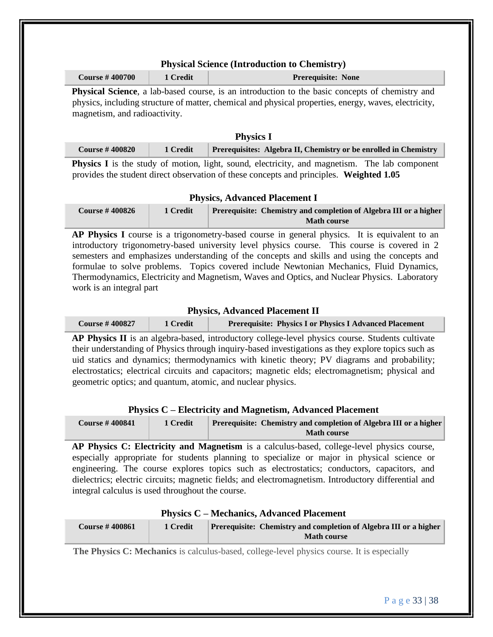## **Physical Science (Introduction to Chemistry)**

| <b>Course #400700</b> | 1 Credit | <b>Prerequisite: None</b> |
|-----------------------|----------|---------------------------|
|                       |          |                           |

**Physical Science**, a lab-based course, is an introduction to the basic concepts of chemistry and physics, including structure of matter, chemical and physical properties, energy, waves, electricity, magnetism, and radioactivity.

## **Physics I**

| <b>Course #400820</b> | 1 Credit Prerequisites: Algebra II, Chemistry or be enrolled in Chemistry |
|-----------------------|---------------------------------------------------------------------------|
| .                     | .<br>----                                                                 |

**Physics I** is the study of motion, light, sound, electricity, and magnetism. The lab component provides the student direct observation of these concepts and principles. **Weighted 1.05** 

## **Physics, Advanced Placement I**

| <b>Course #400826</b> | 1 Credit | <b>Prerequisite: Chemistry and completion of Algebra III or a higher</b> |
|-----------------------|----------|--------------------------------------------------------------------------|
|                       |          | <b>Math course</b>                                                       |

AP Physics I course is a trigonometry-based course in general physics. It is equivalent to an introductory trigonometry-based university level physics course. This course is covered in 2 semesters and emphasizes understanding of the concepts and skills and using the concepts and formulae to solve problems. Topics covered include Newtonian Mechanics, Fluid Dynamics, Thermodynamics, Electricity and Magnetism, Waves and Optics, and Nuclear Physics. Laboratory work is an integral part

## **Physics, Advanced Placement II**

| <b>Course #400827</b> | 1 Credit | <b>Prerequisite: Physics I or Physics I Advanced Placement</b> |
|-----------------------|----------|----------------------------------------------------------------|
|-----------------------|----------|----------------------------------------------------------------|

**AP Physics II** is an algebra-based, introductory college-level physics course. Students cultivate their understanding of Physics through inquiry-based investigations as they explore topics such as uid statics and dynamics; thermodynamics with kinetic theory; PV diagrams and probability; electrostatics; electrical circuits and capacitors; magnetic elds; electromagnetism; physical and geometric optics; and quantum, atomic, and nuclear physics.

## **Physics C – Electricity and Magnetism, Advanced Placement**

| <b>Course #400841</b> | 1 Credit | <b>Prerequisite: Chemistry and completion of Algebra III or a higher</b> |
|-----------------------|----------|--------------------------------------------------------------------------|
|                       |          | <b>Math course</b>                                                       |

**AP Physics C: Electricity and Magnetism** is a calculus-based, college-level physics course, especially appropriate for students planning to specialize or major in physical science or engineering. The course explores topics such as electrostatics; conductors, capacitors, and dielectrics; electric circuits; magnetic fields; and electromagnetism. Introductory differential and integral calculus is used throughout the course.

| <b>Physics C – Mechanics, Advanced Placement</b> |          |                                                                                                |
|--------------------------------------------------|----------|------------------------------------------------------------------------------------------------|
| <b>Course #400861</b>                            | 1 Credit | <b>Prerequisite: Chemistry and completion of Algebra III or a higher</b><br><b>Math course</b> |

**The Physics C: Mechanics** is calculus-based, college-level physics course. It is especially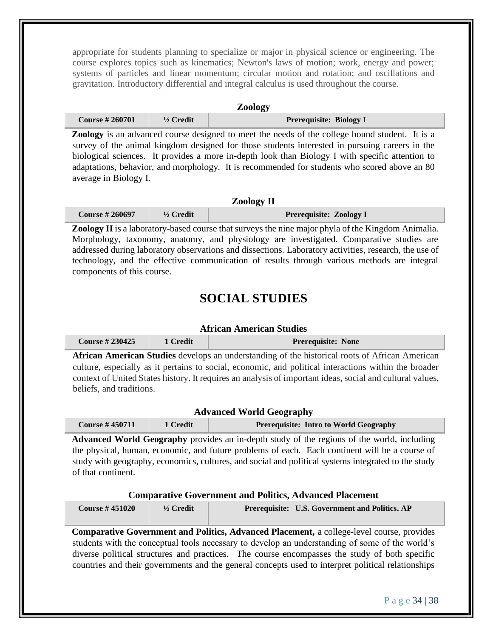appropriate for students planning to specialize or major in physical science or engineering. The course explores topics such as kinematics; Newton's laws of motion; work, energy and power; systems of particles and linear momentum; circular motion and rotation; and oscillations and gravitation. Introductory differential and integral calculus is used throughout the course.

#### **Zoology**

| <b>Course #260701</b>                                                                                                                  | $\frac{1}{2}$ Credit | <b>Prerequisite: Biology I</b> |  |
|----------------------------------------------------------------------------------------------------------------------------------------|----------------------|--------------------------------|--|
| $\blacksquare$ . The contract of the contract of the contract of the contract of $\Lambda$ . The contract of the contract of $\Lambda$ |                      |                                |  |

**Zoology** is an advanced course designed to meet the needs of the college bound student. It is a survey of the animal kingdom designed for those students interested in pursuing careers in the biological sciences. It provides a more in-depth look than Biology I with specific attention to adaptations, behavior, and morphology. It is recommended for students who scored above an 80 average in Biology I.

## **Zoology II**

| <b>Course #260697</b> | $\frac{1}{2}$ Credit | <b>Prerequisite: Zoology I</b> |
|-----------------------|----------------------|--------------------------------|
|-----------------------|----------------------|--------------------------------|

**Zoology II** is a laboratory-based course that surveys the nine major phyla of the Kingdom Animalia. Morphology, taxonomy, anatomy, and physiology are investigated. Comparative studies are addressed during laboratory observations and dissections. Laboratory activities, research, the use of technology, and the effective communication of results through various methods are integral components of this course.

# **SOCIAL STUDIES**

## **African American Studies**

| <b>Course #230425</b> | 1 Credit | <b>Prerequisite: None</b> |
|-----------------------|----------|---------------------------|
|                       |          |                           |

**African American Studies** develops an understanding of the historical roots of African American culture, especially as it pertains to social, economic, and political interactions within the broader context of United States history. It requires an analysis of important ideas, social and cultural values, beliefs, and traditions.

#### **Advanced World Geography**

| Course $\#$ 450711 | 1 Credit | <b>Prerequisite: Intro to World Geography</b> |
|--------------------|----------|-----------------------------------------------|
|--------------------|----------|-----------------------------------------------|

**Advanced World Geography** provides an in-depth study of the regions of the world, including the physical, human, economic, and future problems of each. Each continent will be a course of study with geography, economics, cultures, and social and political systems integrated to the study of that continent.

#### **Comparative Government and Politics, Advanced Placement**

| <b>Course #451020</b> | $\frac{1}{2}$ Credit | <b>Prerequisite:</b> U.S. Government and Politics. AP |
|-----------------------|----------------------|-------------------------------------------------------|
|                       |                      |                                                       |

**Comparative Government and Politics, Advanced Placement,** a college-level course, provides students with the conceptual tools necessary to develop an understanding of some of the world's diverse political structures and practices. The course encompasses the study of both specific countries and their governments and the general concepts used to interpret political relationships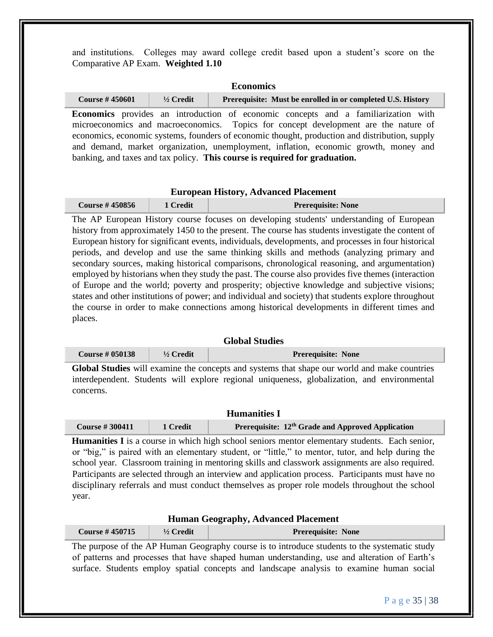and institutions. Colleges may award college credit based upon a student's score on the Comparative AP Exam. **Weighted 1.10** 

#### **Economics**

| <b>Course #450601</b> | $\frac{1}{2}$ Credit | Prerequisite: Must be enrolled in or completed U.S. History |
|-----------------------|----------------------|-------------------------------------------------------------|
|-----------------------|----------------------|-------------------------------------------------------------|

**Economics** provides an introduction of economic concepts and a familiarization with microeconomics and macroeconomics. Topics for concept development are the nature of economics, economic systems, founders of economic thought, production and distribution, supply and demand, market organization, unemployment, inflation, economic growth, money and banking, and taxes and tax policy. **This course is required for graduation.** 

#### **European History, Advanced Placement**

| <b>Course #450856</b> | 1 Credit | <b>Prerequisite: None</b> |
|-----------------------|----------|---------------------------|
|                       |          |                           |

The AP European History course focuses on developing students' understanding of European history from approximately 1450 to the present. The course has students investigate the content of European history for significant events, individuals, developments, and processes in four historical periods, and develop and use the same thinking skills and methods (analyzing primary and secondary sources, making historical comparisons, chronological reasoning, and argumentation) employed by historians when they study the past. The course also provides five themes (interaction of Europe and the world; poverty and prosperity; objective knowledge and subjective visions; states and other institutions of power; and individual and society) that students explore throughout the course in order to make connections among historical developments in different times and places.

## **Global Studies**

| Course $\#$ 050138 | $\frac{1}{2}$ Credit | <b>Prerequisite: None</b> |
|--------------------|----------------------|---------------------------|
|--------------------|----------------------|---------------------------|

**Global Studies** will examine the concepts and systems that shape our world and make countries interdependent. Students will explore regional uniqueness, globalization, and environmental concerns.

| <b>Humanities I</b>   |          |                                                               |  |
|-----------------------|----------|---------------------------------------------------------------|--|
| <b>Course #300411</b> | 1 Credit | Prerequisite: 12 <sup>th</sup> Grade and Approved Application |  |

**Humanities I** is a course in which high school seniors mentor elementary students. Each senior, or "big," is paired with an elementary student, or "little," to mentor, tutor, and help during the school year. Classroom training in mentoring skills and classwork assignments are also required. Participants are selected through an interview and application process. Participants must have no disciplinary referrals and must conduct themselves as proper role models throughout the school year.

#### **Human Geography, Advanced Placement**

| <b>Course #450715</b> | $\frac{1}{2}$ Credit | <b>Prerequisite: None</b> |
|-----------------------|----------------------|---------------------------|
|-----------------------|----------------------|---------------------------|

The purpose of the AP Human Geography course is to introduce students to the systematic study of patterns and processes that have shaped human understanding, use and alteration of Earth's surface. Students employ spatial concepts and landscape analysis to examine human social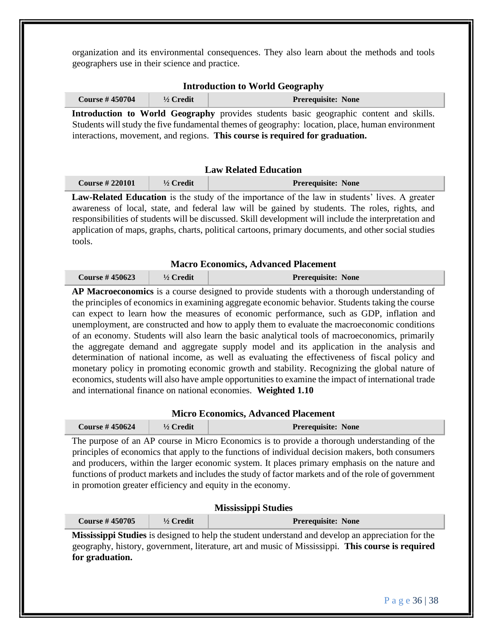organization and its environmental consequences. They also learn about the methods and tools geographers use in their science and practice.

| <b>Course #450704</b> | $\frac{1}{2}$ Credit |                                                                                               | <b>Prerequisite: None</b> |  |
|-----------------------|----------------------|-----------------------------------------------------------------------------------------------|---------------------------|--|
|                       |                      | <b>Introduction to World Geography</b> provides students basic geographic content and skills. |                           |  |

Students will study the five fundamental themes of geography: location, place, human environment interactions, movement, and regions. **This course is required for graduation.** 

#### **Law Related Education**

| <b>Course #220101</b> | $\frac{1}{2}$ Credit | <b>Prerequisite: None</b> |
|-----------------------|----------------------|---------------------------|
|                       |                      |                           |

**Law-Related Education** is the study of the importance of the law in students' lives. A greater awareness of local, state, and federal law will be gained by students. The roles, rights, and responsibilities of students will be discussed. Skill development will include the interpretation and application of maps, graphs, charts, political cartoons, primary documents, and other social studies tools.

#### **Macro Economics, Advanced Placement**

| <b>Course #450623</b> | $\frac{1}{2}$ Credit | <b>Prerequisite: None</b> |
|-----------------------|----------------------|---------------------------|
|-----------------------|----------------------|---------------------------|

**AP Macroeconomics** is a course designed to provide students with a thorough understanding of the principles of economics in examining aggregate economic behavior. Students taking the course can expect to learn how the measures of economic performance, such as GDP, inflation and unemployment, are constructed and how to apply them to evaluate the macroeconomic conditions of an economy. Students will also learn the basic analytical tools of macroeconomics, primarily the aggregate demand and aggregate supply model and its application in the analysis and determination of national income, as well as evaluating the effectiveness of fiscal policy and monetary policy in promoting economic growth and stability. Recognizing the global nature of economics, students will also have ample opportunities to examine the impact of international trade and international finance on national economies. **Weighted 1.10** 

#### **Micro Economics, Advanced Placement**

| Course $\#$ 450624 | $\frac{1}{2}$ Credit | <b>Prerequisite: None</b> |
|--------------------|----------------------|---------------------------|
|--------------------|----------------------|---------------------------|

The purpose of an AP course in Micro Economics is to provide a thorough understanding of the principles of economics that apply to the functions of individual decision makers, both consumers and producers, within the larger economic system. It places primary emphasis on the nature and functions of product markets and includes the study of factor markets and of the role of government in promotion greater efficiency and equity in the economy.

|                       |                      | <b>Mississippi Studies</b> |
|-----------------------|----------------------|----------------------------|
| <b>Course #450705</b> | $\frac{1}{2}$ Credit | <b>Prerequisite: None</b>  |

**Mississippi Studies** is designed to help the student understand and develop an appreciation for the geography, history, government, literature, art and music of Mississippi. **This course is required for graduation.**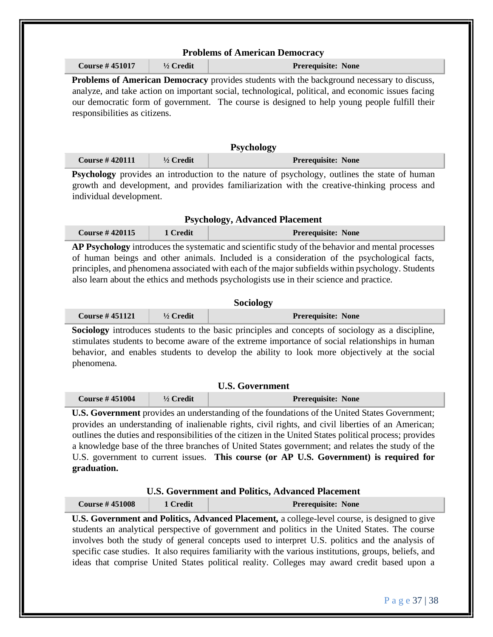| <b>Course #451017</b>         | 1/2 Credit           | Prerequisite: None                                                                                                                                                                                                                                                                                                                                                                                                                                                                                                                                                                                                                                                                                                                                                                                                                                                                                                                                                                                                                                                                                                                                                                                                                          |
|-------------------------------|----------------------|---------------------------------------------------------------------------------------------------------------------------------------------------------------------------------------------------------------------------------------------------------------------------------------------------------------------------------------------------------------------------------------------------------------------------------------------------------------------------------------------------------------------------------------------------------------------------------------------------------------------------------------------------------------------------------------------------------------------------------------------------------------------------------------------------------------------------------------------------------------------------------------------------------------------------------------------------------------------------------------------------------------------------------------------------------------------------------------------------------------------------------------------------------------------------------------------------------------------------------------------|
|                               |                      | Problems of American Democracy provides students with the background necessary to discuss,                                                                                                                                                                                                                                                                                                                                                                                                                                                                                                                                                                                                                                                                                                                                                                                                                                                                                                                                                                                                                                                                                                                                                  |
|                               |                      | analyze, and take action on important social, technological, political, and economic issues facing                                                                                                                                                                                                                                                                                                                                                                                                                                                                                                                                                                                                                                                                                                                                                                                                                                                                                                                                                                                                                                                                                                                                          |
|                               |                      | our democratic form of government. The course is designed to help young people fulfill their                                                                                                                                                                                                                                                                                                                                                                                                                                                                                                                                                                                                                                                                                                                                                                                                                                                                                                                                                                                                                                                                                                                                                |
| responsibilities as citizens. |                      |                                                                                                                                                                                                                                                                                                                                                                                                                                                                                                                                                                                                                                                                                                                                                                                                                                                                                                                                                                                                                                                                                                                                                                                                                                             |
|                               |                      |                                                                                                                                                                                                                                                                                                                                                                                                                                                                                                                                                                                                                                                                                                                                                                                                                                                                                                                                                                                                                                                                                                                                                                                                                                             |
|                               |                      | Psychology                                                                                                                                                                                                                                                                                                                                                                                                                                                                                                                                                                                                                                                                                                                                                                                                                                                                                                                                                                                                                                                                                                                                                                                                                                  |
| <b>Course #420111</b>         | $1/2$ Credit         | Prerequisite: None                                                                                                                                                                                                                                                                                                                                                                                                                                                                                                                                                                                                                                                                                                                                                                                                                                                                                                                                                                                                                                                                                                                                                                                                                          |
|                               |                      | Psychology provides an introduction to the nature of psychology, outlines the state of human                                                                                                                                                                                                                                                                                                                                                                                                                                                                                                                                                                                                                                                                                                                                                                                                                                                                                                                                                                                                                                                                                                                                                |
|                               |                      | growth and development, and provides familiarization with the creative-thinking process and                                                                                                                                                                                                                                                                                                                                                                                                                                                                                                                                                                                                                                                                                                                                                                                                                                                                                                                                                                                                                                                                                                                                                 |
| individual development.       |                      |                                                                                                                                                                                                                                                                                                                                                                                                                                                                                                                                                                                                                                                                                                                                                                                                                                                                                                                                                                                                                                                                                                                                                                                                                                             |
|                               |                      |                                                                                                                                                                                                                                                                                                                                                                                                                                                                                                                                                                                                                                                                                                                                                                                                                                                                                                                                                                                                                                                                                                                                                                                                                                             |
|                               |                      | <b>Psychology, Advanced Placement</b>                                                                                                                                                                                                                                                                                                                                                                                                                                                                                                                                                                                                                                                                                                                                                                                                                                                                                                                                                                                                                                                                                                                                                                                                       |
| <b>Course #420115</b>         | 1 Credit             | Prerequisite: None                                                                                                                                                                                                                                                                                                                                                                                                                                                                                                                                                                                                                                                                                                                                                                                                                                                                                                                                                                                                                                                                                                                                                                                                                          |
|                               |                      | AP Psychology introduces the systematic and scientific study of the behavior and mental processes                                                                                                                                                                                                                                                                                                                                                                                                                                                                                                                                                                                                                                                                                                                                                                                                                                                                                                                                                                                                                                                                                                                                           |
|                               |                      |                                                                                                                                                                                                                                                                                                                                                                                                                                                                                                                                                                                                                                                                                                                                                                                                                                                                                                                                                                                                                                                                                                                                                                                                                                             |
|                               |                      | of human beings and other animals. Included is a consideration of the psychological facts,                                                                                                                                                                                                                                                                                                                                                                                                                                                                                                                                                                                                                                                                                                                                                                                                                                                                                                                                                                                                                                                                                                                                                  |
|                               |                      | principles, and phenomena associated with each of the major subfields within psychology. Students                                                                                                                                                                                                                                                                                                                                                                                                                                                                                                                                                                                                                                                                                                                                                                                                                                                                                                                                                                                                                                                                                                                                           |
|                               |                      | also learn about the ethics and methods psychologists use in their science and practice.                                                                                                                                                                                                                                                                                                                                                                                                                                                                                                                                                                                                                                                                                                                                                                                                                                                                                                                                                                                                                                                                                                                                                    |
|                               |                      |                                                                                                                                                                                                                                                                                                                                                                                                                                                                                                                                                                                                                                                                                                                                                                                                                                                                                                                                                                                                                                                                                                                                                                                                                                             |
|                               |                      | Sociology                                                                                                                                                                                                                                                                                                                                                                                                                                                                                                                                                                                                                                                                                                                                                                                                                                                                                                                                                                                                                                                                                                                                                                                                                                   |
| <b>Course #451121</b>         | 1/2 Credit           |                                                                                                                                                                                                                                                                                                                                                                                                                                                                                                                                                                                                                                                                                                                                                                                                                                                                                                                                                                                                                                                                                                                                                                                                                                             |
|                               |                      | Prerequisite: None                                                                                                                                                                                                                                                                                                                                                                                                                                                                                                                                                                                                                                                                                                                                                                                                                                                                                                                                                                                                                                                                                                                                                                                                                          |
|                               |                      |                                                                                                                                                                                                                                                                                                                                                                                                                                                                                                                                                                                                                                                                                                                                                                                                                                                                                                                                                                                                                                                                                                                                                                                                                                             |
|                               |                      |                                                                                                                                                                                                                                                                                                                                                                                                                                                                                                                                                                                                                                                                                                                                                                                                                                                                                                                                                                                                                                                                                                                                                                                                                                             |
|                               |                      |                                                                                                                                                                                                                                                                                                                                                                                                                                                                                                                                                                                                                                                                                                                                                                                                                                                                                                                                                                                                                                                                                                                                                                                                                                             |
|                               |                      |                                                                                                                                                                                                                                                                                                                                                                                                                                                                                                                                                                                                                                                                                                                                                                                                                                                                                                                                                                                                                                                                                                                                                                                                                                             |
| phenomena.                    |                      |                                                                                                                                                                                                                                                                                                                                                                                                                                                                                                                                                                                                                                                                                                                                                                                                                                                                                                                                                                                                                                                                                                                                                                                                                                             |
|                               |                      | <b>U.S. Government</b>                                                                                                                                                                                                                                                                                                                                                                                                                                                                                                                                                                                                                                                                                                                                                                                                                                                                                                                                                                                                                                                                                                                                                                                                                      |
| <b>Course #451004</b>         | $\frac{1}{2}$ Credit | <b>Prerequisite: None</b>                                                                                                                                                                                                                                                                                                                                                                                                                                                                                                                                                                                                                                                                                                                                                                                                                                                                                                                                                                                                                                                                                                                                                                                                                   |
|                               |                      |                                                                                                                                                                                                                                                                                                                                                                                                                                                                                                                                                                                                                                                                                                                                                                                                                                                                                                                                                                                                                                                                                                                                                                                                                                             |
|                               |                      |                                                                                                                                                                                                                                                                                                                                                                                                                                                                                                                                                                                                                                                                                                                                                                                                                                                                                                                                                                                                                                                                                                                                                                                                                                             |
|                               |                      |                                                                                                                                                                                                                                                                                                                                                                                                                                                                                                                                                                                                                                                                                                                                                                                                                                                                                                                                                                                                                                                                                                                                                                                                                                             |
|                               |                      |                                                                                                                                                                                                                                                                                                                                                                                                                                                                                                                                                                                                                                                                                                                                                                                                                                                                                                                                                                                                                                                                                                                                                                                                                                             |
|                               |                      |                                                                                                                                                                                                                                                                                                                                                                                                                                                                                                                                                                                                                                                                                                                                                                                                                                                                                                                                                                                                                                                                                                                                                                                                                                             |
|                               |                      |                                                                                                                                                                                                                                                                                                                                                                                                                                                                                                                                                                                                                                                                                                                                                                                                                                                                                                                                                                                                                                                                                                                                                                                                                                             |
| graduation.                   |                      |                                                                                                                                                                                                                                                                                                                                                                                                                                                                                                                                                                                                                                                                                                                                                                                                                                                                                                                                                                                                                                                                                                                                                                                                                                             |
|                               |                      |                                                                                                                                                                                                                                                                                                                                                                                                                                                                                                                                                                                                                                                                                                                                                                                                                                                                                                                                                                                                                                                                                                                                                                                                                                             |
|                               |                      | <b>U.S. Government and Politics, Advanced Placement</b>                                                                                                                                                                                                                                                                                                                                                                                                                                                                                                                                                                                                                                                                                                                                                                                                                                                                                                                                                                                                                                                                                                                                                                                     |
| <b>Course #451008</b>         | 1 Credit             | Prerequisite: None                                                                                                                                                                                                                                                                                                                                                                                                                                                                                                                                                                                                                                                                                                                                                                                                                                                                                                                                                                                                                                                                                                                                                                                                                          |
|                               |                      |                                                                                                                                                                                                                                                                                                                                                                                                                                                                                                                                                                                                                                                                                                                                                                                                                                                                                                                                                                                                                                                                                                                                                                                                                                             |
|                               |                      |                                                                                                                                                                                                                                                                                                                                                                                                                                                                                                                                                                                                                                                                                                                                                                                                                                                                                                                                                                                                                                                                                                                                                                                                                                             |
|                               |                      |                                                                                                                                                                                                                                                                                                                                                                                                                                                                                                                                                                                                                                                                                                                                                                                                                                                                                                                                                                                                                                                                                                                                                                                                                                             |
|                               |                      | Sociology introduces students to the basic principles and concepts of sociology as a discipline,<br>stimulates students to become aware of the extreme importance of social relationships in human<br>behavior, and enables students to develop the ability to look more objectively at the social<br><b>U.S. Government</b> provides an understanding of the foundations of the United States Government;<br>provides an understanding of inalienable rights, civil rights, and civil liberties of an American;<br>outlines the duties and responsibilities of the citizen in the United States political process; provides<br>a knowledge base of the three branches of United States government; and relates the study of the<br>U.S. government to current issues. This course (or AP U.S. Government) is required for<br>U.S. Government and Politics, Advanced Placement, a college-level course, is designed to give<br>students an analytical perspective of government and politics in the United States. The course<br>involves both the study of general concepts used to interpret U.S. politics and the analysis of<br>specific case studies. It also requires familiarity with the various institutions, groups, beliefs, and |